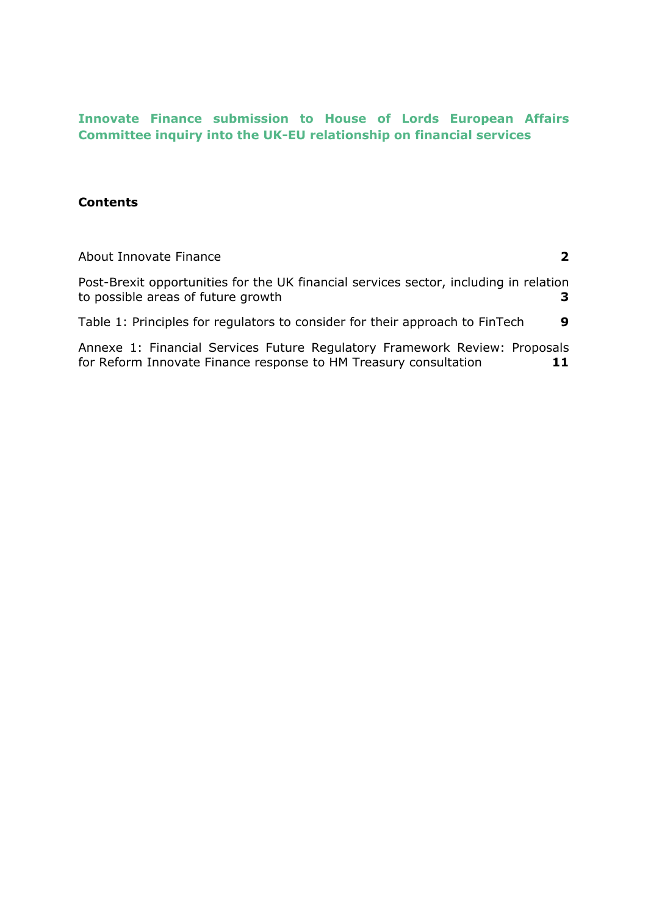# **Innovate Finance submission to House of Lords European Affairs Committee inquiry into the UK-EU relationship on financial services**

## **Contents**

| About Innovate Finance                                                                                                                         |   |
|------------------------------------------------------------------------------------------------------------------------------------------------|---|
| Post-Brexit opportunities for the UK financial services sector, including in relation<br>to possible areas of future growth                    |   |
| Table 1: Principles for regulators to consider for their approach to FinTech                                                                   | 9 |
| Annexe 1: Financial Services Future Regulatory Framework Review: Proposals<br>for Reform Innovate Finance response to HM Treasury consultation |   |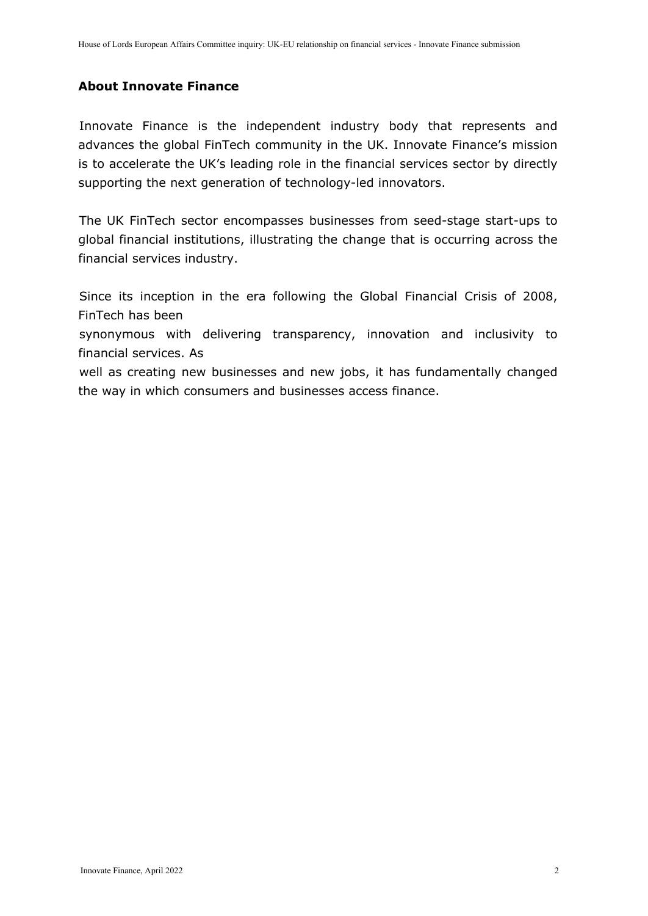### <span id="page-1-0"></span>**About Innovate Finance**

Innovate Finance is the independent industry body that represents and advances the global FinTech community in the UK. Innovate Finance's mission is to accelerate the UK's leading role in the financial services sector by directly supporting the next generation of technology-led innovators.

The UK FinTech sector encompasses businesses from seed-stage start-ups to global financial institutions, illustrating the change that is occurring across the financial services industry.

Since its inception in the era following the Global Financial Crisis of 2008, FinTech has been

synonymous with delivering transparency, innovation and inclusivity to financial services. As

well as creating new businesses and new jobs, it has fundamentally changed the way in which consumers and businesses access finance.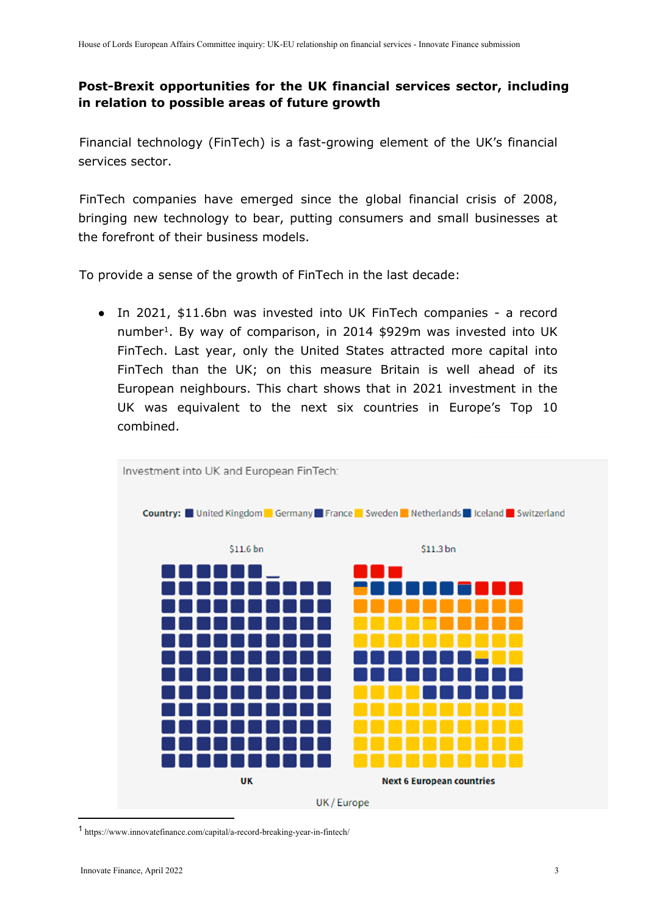## <span id="page-2-0"></span>**Post-Brexit opportunities for the UK financial services sector, including in relation to possible areas of future growth**

Financial technology (FinTech) is a fast-growing element of the UK's financial services sector.

FinTech companies have emerged since the global financial crisis of 2008, bringing new technology to bear, putting consumers and small businesses at the forefront of their business models.

To provide a sense of the growth of FinTech in the last decade:

● In 2021, \$11.6bn was invested into UK FinTech companies - a record number<sup>1</sup>. By way of comparison, in 2014 \$929m was invested into UK FinTech. Last year, only the United States attracted more capital into FinTech than the UK; on this measure Britain is well ahead of its European neighbours. This chart shows that in 2021 investment in the UK was equivalent to the next six countries in Europe's Top 10 combined.



1 <https://www.innovatefinance.com/capital/a-record-breaking-year-in-fintech/>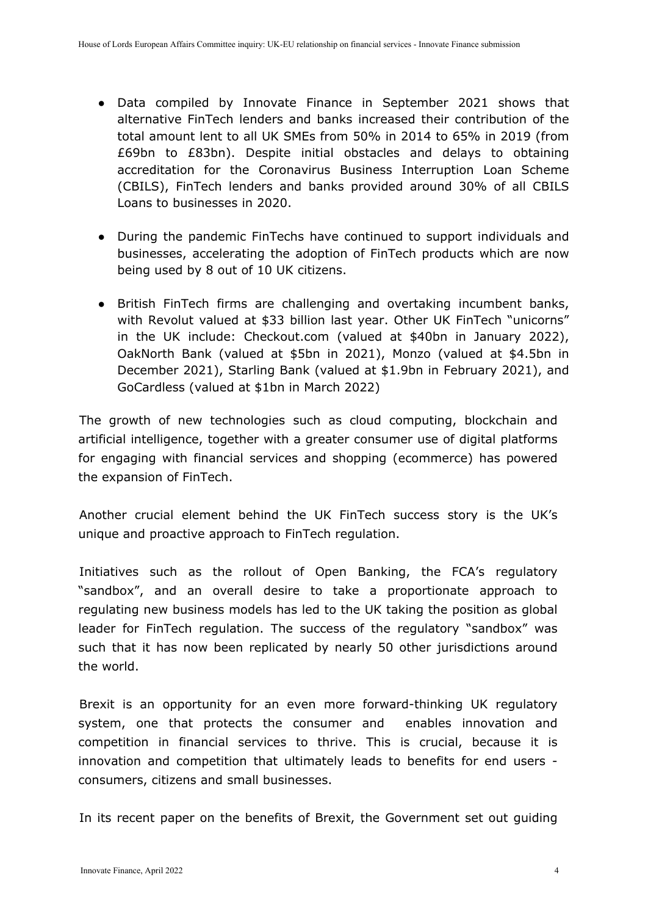- Data compiled by Innovate Finance in September 2021 shows that alternative FinTech lenders and banks increased their contribution of the total amount lent to all UK SMEs from 50% in 2014 to 65% in 2019 (from £69bn to £83bn). Despite initial obstacles and delays to obtaining accreditation for the Coronavirus Business Interruption Loan Scheme (CBILS), FinTech lenders and banks provided around 30% of all CBILS Loans to businesses in 2020.
- During the pandemic FinTechs have continued to support individuals and businesses, accelerating the adoption of FinTech products which are now being used by 8 out of 10 UK citizens.
- British FinTech firms are challenging and overtaking incumbent banks, with Revolut valued at \$33 billion last year. Other UK FinTech "unicorns" in the UK include: Checkout.com (valued at \$40bn in January 2022), OakNorth Bank (valued at \$5bn in 2021), Monzo (valued at \$4.5bn in December 2021), Starling Bank (valued at \$1.9bn in February 2021), and GoCardless (valued at \$1bn in March 2022)

The growth of new technologies such as cloud computing, blockchain and artificial intelligence, together with a greater consumer use of digital platforms for engaging with financial services and shopping (ecommerce) has powered the expansion of FinTech.

Another crucial element behind the UK FinTech success story is the UK's unique and proactive approach to FinTech regulation.

Initiatives such as the rollout of Open Banking, the FCA's regulatory "sandbox", and an overall desire to take a proportionate approach to regulating new business models has led to the UK taking the position as global leader for FinTech regulation. The success of the regulatory "sandbox" was such that it has now been replicated by nearly 50 other jurisdictions around the world.

Brexit is an opportunity for an even more forward-thinking UK regulatory system, one that protects the consumer and enables innovation and competition in financial services to thrive. This is crucial, because it is innovation and competition that ultimately leads to benefits for end users consumers, citizens and small businesses.

In its recent paper on the benefits of Brexit, the Government set out guiding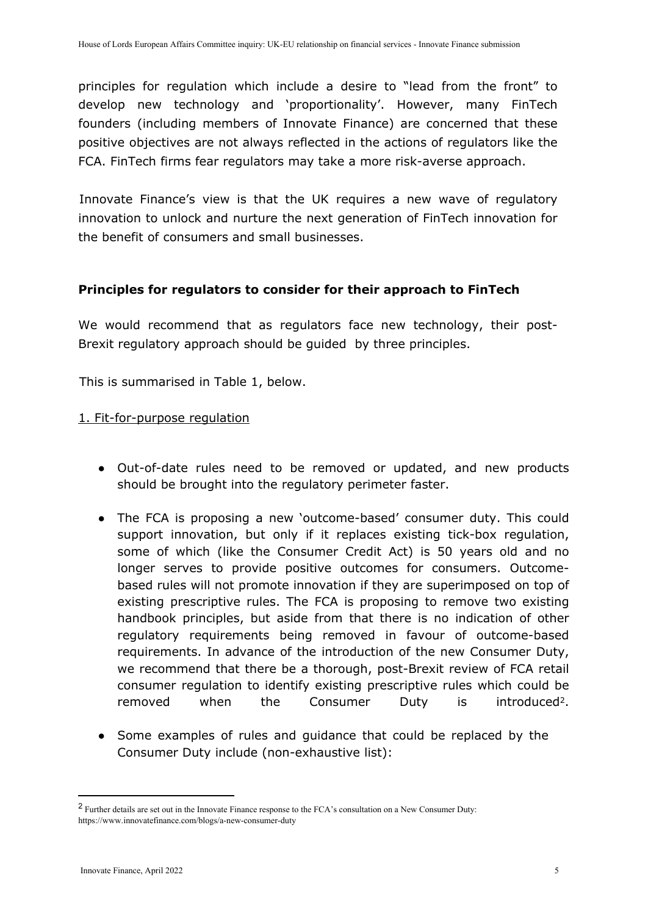principles for regulation which include a desire to "lead from the front" to develop new technology and 'proportionality'. However, many FinTech founders (including members of Innovate Finance) are concerned that these positive objectives are not always reflected in the actions of regulators like the FCA. FinTech firms fear regulators may take a more risk-averse approach.

Innovate Finance's view is that the UK requires a new wave of regulatory innovation to unlock and nurture the next generation of FinTech innovation for the benefit of consumers and small businesses.

## **Principles for regulators to consider for their approach to FinTech**

We would recommend that as regulators face new technology, their post-Brexit regulatory approach should be guided by three principles.

This is summarised in Table 1, below.

## 1. Fit-for-purpose regulation

- Out-of-date rules need to be removed or updated, and new products should be brought into the regulatory perimeter faster.
- The FCA is proposing a new 'outcome-based' consumer duty. This could support innovation, but only if it replaces existing tick-box regulation, some of which (like the Consumer Credit Act) is 50 years old and no longer serves to provide positive outcomes for consumers. Outcomebased rules will not promote innovation if they are superimposed on top of existing prescriptive rules. The FCA is proposing to remove two existing handbook principles, but aside from that there is no indication of other regulatory requirements being removed in favour of outcome-based requirements. In advance of the introduction of the new Consumer Duty, we recommend that there be a thorough, post-Brexit review of FCA retail consumer regulation to identify existing prescriptive rules which could be removed when the Consumer Duty is introduced<sup>2</sup>.
- Some examples of rules and quidance that could be replaced by the Consumer Duty include (non-exhaustive list):

<sup>2</sup> Further details are set out in the Innovate Finance response to the FCA's consultation on a New Consumer Duty: [https://www.innovatefinance.com/blogs/a-new-consumer-duty](https://www.innovatefinance.com/blogs/a-new-consumer-duty/)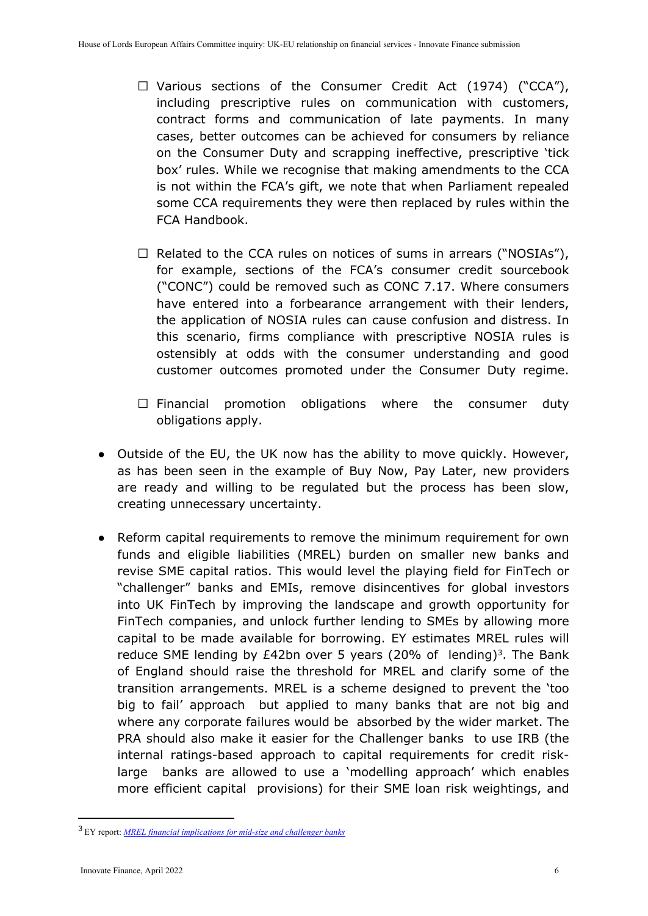- $\Box$  Various sections of the Consumer Credit Act (1974) ("CCA"), including prescriptive rules on communication with customers, contract forms and communication of late payments. In many cases, better outcomes can be achieved for consumers by reliance on the Consumer Duty and scrapping ineffective, prescriptive 'tick box' rules. While we recognise that making amendments to the CCA is not within the FCA's gift, we note that when Parliament repealed some CCA requirements they were then replaced by rules within the FCA Handbook.
- $\Box$  Related to the CCA rules on notices of sums in arrears ("NOSIAs"), for example, sections of the FCA's consumer credit sourcebook ("CONC") could be removed such as CONC 7.17. Where consumers have entered into a forbearance arrangement with their lenders, the application of NOSIA rules can cause confusion and distress. In this scenario, firms compliance with prescriptive NOSIA rules is ostensibly at odds with the consumer understanding and good customer outcomes promoted under the Consumer Duty regime.
- $\square$  Financial promotion obligations where the consumer duty obligations apply.
- Outside of the EU, the UK now has the ability to move quickly. However, as has been seen in the example of Buy Now, Pay Later, new providers are ready and willing to be regulated but the process has been slow, creating unnecessary uncertainty.
- Reform capital requirements to remove the minimum requirement for own funds and eligible liabilities (MREL) burden on smaller new banks and revise SME capital ratios. This would level the playing field for FinTech or "challenger" banks and EMIs, remove disincentives for global investors into UK FinTech by improving the landscape and growth opportunity for FinTech companies, and unlock further lending to SMEs by allowing more capital to be made available for borrowing. EY estimates MREL rules will reduce SME lending by  $£42$ bn over 5 years (20% of lending)<sup>3</sup>. The Bank of England should raise the threshold for MREL and clarify some of the transition arrangements. MREL is a scheme designed to prevent the 'too big to fail' approach but applied to many banks that are not big and where any corporate failures would be absorbed by the wider market. The PRA should also make it easier for the Challenger banks to use IRB (the internal ratings-based approach to capital requirements for credit risklarge banks are allowed to use a 'modelling approach' which enables more efficient capital provisions) for their SME loan risk weightings, and

<sup>3</sup> EY report: *MREL financial implications for mid-size and challenger banks*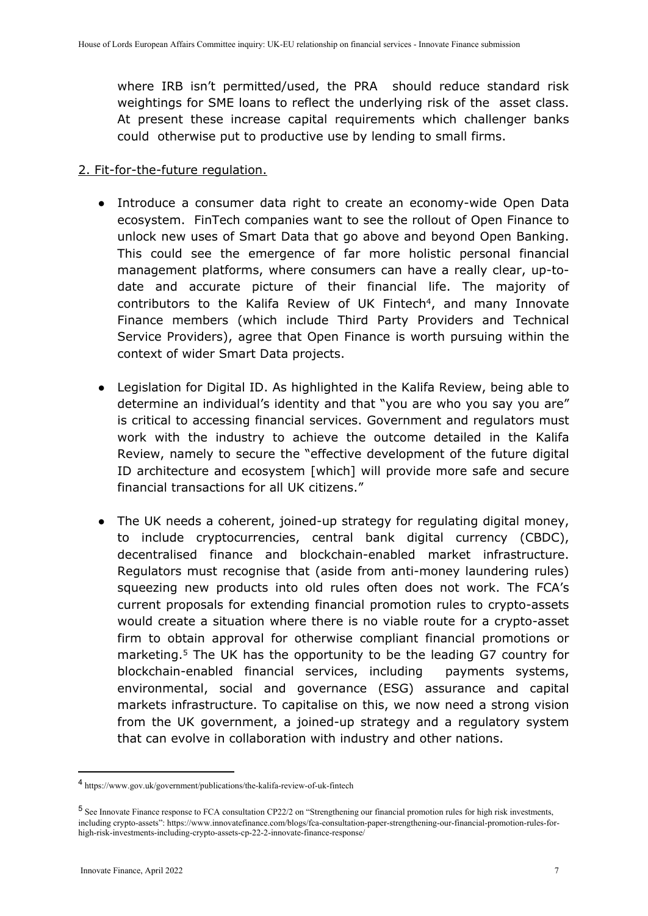where IRB isn't permitted/used, the PRA should reduce standard risk weightings for SME loans to reflect the underlying risk of the asset class. At present these increase capital requirements which challenger banks could otherwise put to productive use by lending to small firms.

## 2. Fit-for-the-future regulation.

- Introduce a consumer data right to create an economy-wide Open Data ecosystem. FinTech companies want to see the rollout of Open Finance to unlock new uses of Smart Data that go above and beyond Open Banking. This could see the emergence of far more holistic personal financial management platforms, where consumers can have a really clear, up-todate and accurate picture of their financial life. The majority of contributors to the Kalifa Review of UK Fintech<sup>4</sup>, and many Innovate Finance members (which include Third Party Providers and Technical Service Providers), agree that Open Finance is worth pursuing within the context of wider Smart Data projects.
- Legislation for Digital ID. As highlighted in the Kalifa Review, being able to determine an individual's identity and that "you are who you say you are" is critical to accessing financial services. Government and regulators must work with the industry to achieve the outcome detailed in the Kalifa Review, namely to secure the "effective development of the future digital ID architecture and ecosystem [which] will provide more safe and secure financial transactions for all UK citizens."
- The UK needs a coherent, joined-up strategy for regulating digital money, to include cryptocurrencies, central bank digital currency (CBDC), decentralised finance and blockchain-enabled market infrastructure. Regulators must recognise that (aside from anti-money laundering rules) squeezing new products into old rules often does not work. The FCA's current proposals for extending financial promotion rules to crypto-assets would create a situation where there is no viable route for a crypto-asset firm to obtain approval for otherwise compliant financial promotions or marketing.<sup>5</sup> The UK has the opportunity to be the leading G7 country for blockchain-enabled financial services, including payments systems, environmental, social and governance (ESG) assurance and capital markets infrastructure. To capitalise on this, we now need a strong vision from the UK government, a joined-up strategy and a regulatory system that can evolve in collaboration with industry and other nations.

<sup>4</sup> <https://www.gov.uk/government/publications/the-kalifa-review-of-uk-fintech>

<sup>5</sup> See Innovate Finance response to FCA consultation CP22/2 on "Strengthening our financial promotion rules for high risk investments, including crypto-assets": https://www.innovatefinance.com/blogs/fca-consultation-paper-strengthening-our-financial-promotion-rules-forhigh-risk-investments-including-crypto-assets-cp-22-2-innovate-finance-response/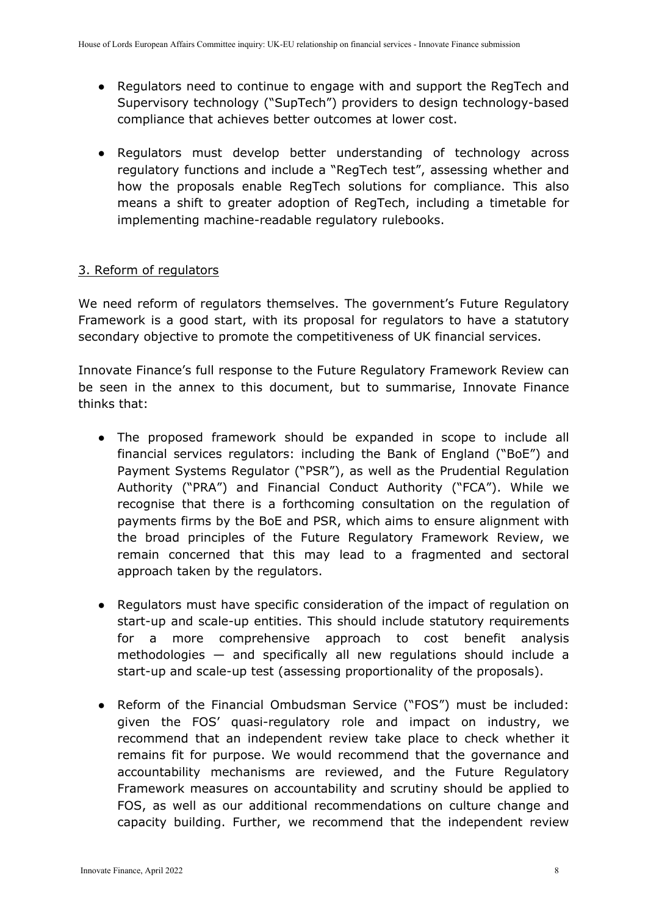- Regulators need to continue to engage with and support the RegTech and Supervisory technology ("SupTech") providers to design technology-based compliance that achieves better outcomes at lower cost.
- Regulators must develop better understanding of technology across regulatory functions and include a "RegTech test", assessing whether and how the proposals enable RegTech solutions for compliance. This also means a shift to greater adoption of RegTech, including a timetable for implementing machine-readable regulatory rulebooks.

## 3. Reform of regulators

We need reform of regulators themselves. The government's Future Regulatory Framework is a good start, with its proposal for regulators to have a statutory secondary objective to promote the competitiveness of UK financial services.

Innovate Finance's full response to the Future Regulatory Framework Review can be seen in the annex to this document, but to summarise, Innovate Finance thinks that:

- The proposed framework should be expanded in scope to include all financial services regulators: including the Bank of England ("BoE") and Payment Systems Regulator ("PSR"), as well as the Prudential Regulation Authority ("PRA") and Financial Conduct Authority ("FCA"). While we recognise that there is a forthcoming consultation on the regulation of payments firms by the BoE and PSR, which aims to ensure alignment with the broad principles of the Future Regulatory Framework Review, we remain concerned that this may lead to a fragmented and sectoral approach taken by the regulators.
- Regulators must have specific consideration of the impact of regulation on start-up and scale-up entities. This should include statutory requirements for a more comprehensive approach to cost benefit analysis methodologies — and specifically all new regulations should include a start-up and scale-up test (assessing proportionality of the proposals).
- Reform of the Financial Ombudsman Service ("FOS") must be included: given the FOS' quasi-regulatory role and impact on industry, we recommend that an independent review take place to check whether it remains fit for purpose. We would recommend that the governance and accountability mechanisms are reviewed, and the Future Regulatory Framework measures on accountability and scrutiny should be applied to FOS, as well as our additional recommendations on culture change and capacity building. Further, we recommend that the independent review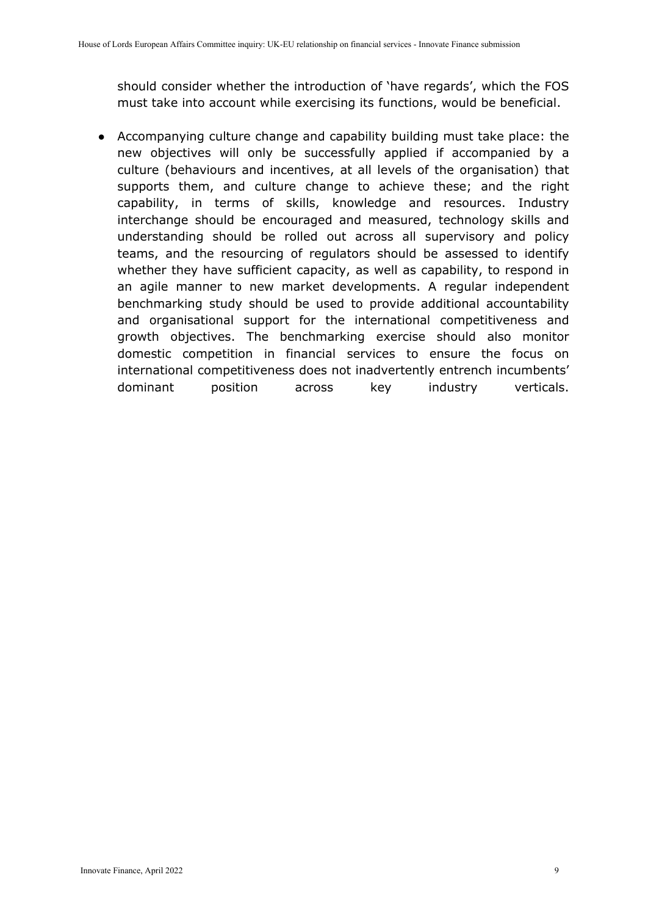should consider whether the introduction of 'have regards', which the FOS must take into account while exercising its functions, would be beneficial.

● Accompanying culture change and capability building must take place: the new objectives will only be successfully applied if accompanied by a culture (behaviours and incentives, at all levels of the organisation) that supports them, and culture change to achieve these; and the right capability, in terms of skills, knowledge and resources. Industry interchange should be encouraged and measured, technology skills and understanding should be rolled out across all supervisory and policy teams, and the resourcing of regulators should be assessed to identify whether they have sufficient capacity, as well as capability, to respond in an agile manner to new market developments. A regular independent benchmarking study should be used to provide additional accountability and organisational support for the international competitiveness and growth objectives. The benchmarking exercise should also monitor domestic competition in financial services to ensure the focus on international competitiveness does not inadvertently entrench incumbents' dominant position across key industry verticals.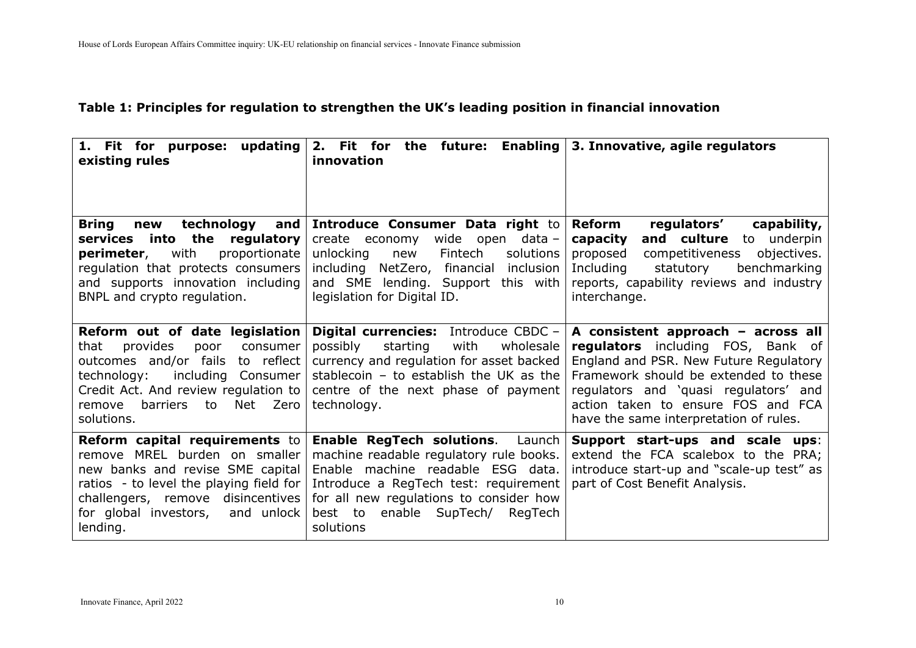### **Table 1: Principles for regulation to strengthen the UK's leading position in financial innovation**

<span id="page-9-0"></span>

| 1. Fit for purpose: updating<br>existing rules                                                                                                                                                                                                   | 2. Fit for<br>innovation                                                                                                                                                                                                                                                | the future: Enabling $\vert$ 3. Innovative, agile regulators                                                                                                                                                                                                                        |
|--------------------------------------------------------------------------------------------------------------------------------------------------------------------------------------------------------------------------------------------------|-------------------------------------------------------------------------------------------------------------------------------------------------------------------------------------------------------------------------------------------------------------------------|-------------------------------------------------------------------------------------------------------------------------------------------------------------------------------------------------------------------------------------------------------------------------------------|
| technology<br>and<br><b>Bring</b><br>new<br>services into the regulatory<br>with<br>proportionate<br>perimeter,<br>regulation that protects consumers<br>and supports innovation including<br>BNPL and crypto regulation.                        | Introduce Consumer Data right to<br>wide open data-<br>create economy<br>unlocking<br>Fintech<br>solutions<br>new<br>including NetZero, financial inclusion<br>and SME lending. Support this with<br>legislation for Digital ID.                                        | Reform<br>capability,<br>regulators'<br>and culture<br>underpin<br>to<br>capacity<br>competitiveness<br>objectives.<br>proposed<br>Including<br>statutory<br>benchmarking<br>reports, capability reviews and industry<br>interchange.                                               |
| Reform out of date legislation<br>that<br>provides<br>poor<br>consumer<br>outcomes and/or fails<br>to reflect<br>including Consumer<br>technology:<br>Credit Act. And review regulation to<br>to<br>Net Zero<br>barriers<br>remove<br>solutions. | <b>Digital currencies:</b> Introduce CBDC -<br>possibly<br>wholesale<br>starting<br>with<br>currency and regulation for asset backed<br>stablecoin - to establish the UK as the<br>centre of the next phase of payment<br>technology.                                   | A consistent approach - across all<br>regulators including FOS, Bank of<br>England and PSR. New Future Regulatory<br>Framework should be extended to these<br>regulators and 'quasi regulators' and<br>action taken to ensure FOS and FCA<br>have the same interpretation of rules. |
| Reform capital requirements to<br>remove MREL burden on smaller<br>new banks and revise SME capital<br>ratios - to level the playing field for<br>challengers, remove disincentives<br>for global investors,<br>and unlock<br>lending.           | <b>Enable RegTech solutions.</b><br>Launch<br>machine readable regulatory rule books.<br>Enable machine readable ESG data.<br>Introduce a RegTech test: requirement<br>for all new regulations to consider how<br>enable<br>SupTech/<br>RegTech<br>best to<br>solutions | Support start-ups and scale ups:<br>extend the FCA scalebox to the PRA;<br>introduce start-up and "scale-up test" as<br>part of Cost Benefit Analysis.                                                                                                                              |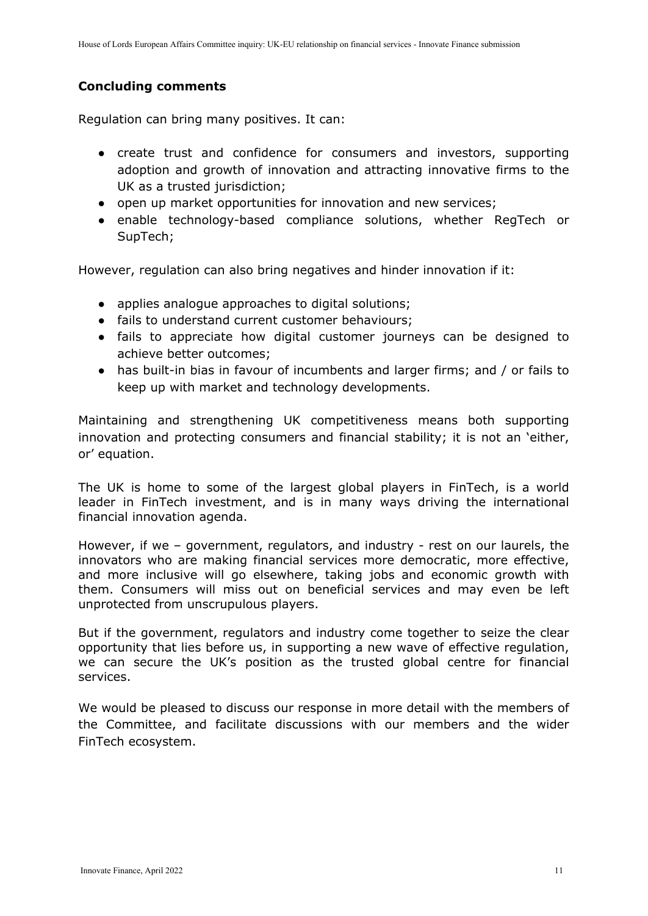## **Concluding comments**

Regulation can bring many positives. It can:

- create trust and confidence for consumers and investors, supporting adoption and growth of innovation and attracting innovative firms to the UK as a trusted jurisdiction:
- open up market opportunities for innovation and new services;
- enable technology-based compliance solutions, whether RegTech or SupTech;

However, regulation can also bring negatives and hinder innovation if it:

- applies analogue approaches to digital solutions;
- fails to understand current customer behaviours;
- fails to appreciate how digital customer journeys can be designed to achieve better outcomes;
- has built-in bias in favour of incumbents and larger firms; and / or fails to keep up with market and technology developments.

Maintaining and strengthening UK competitiveness means both supporting innovation and protecting consumers and financial stability; it is not an 'either, or' equation.

The UK is home to some of the largest global players in FinTech, is a world leader in FinTech investment, and is in many ways driving the international financial innovation agenda.

However, if we – government, regulators, and industry - rest on our laurels, the innovators who are making financial services more democratic, more effective, and more inclusive will go elsewhere, taking jobs and economic growth with them. Consumers will miss out on beneficial services and may even be left unprotected from unscrupulous players.

But if the government, regulators and industry come together to seize the clear opportunity that lies before us, in supporting a new wave of effective regulation, we can secure the UK's position as the trusted global centre for financial services.

We would be pleased to discuss our response in more detail with the members of the Committee, and facilitate discussions with our members and the wider FinTech ecosystem.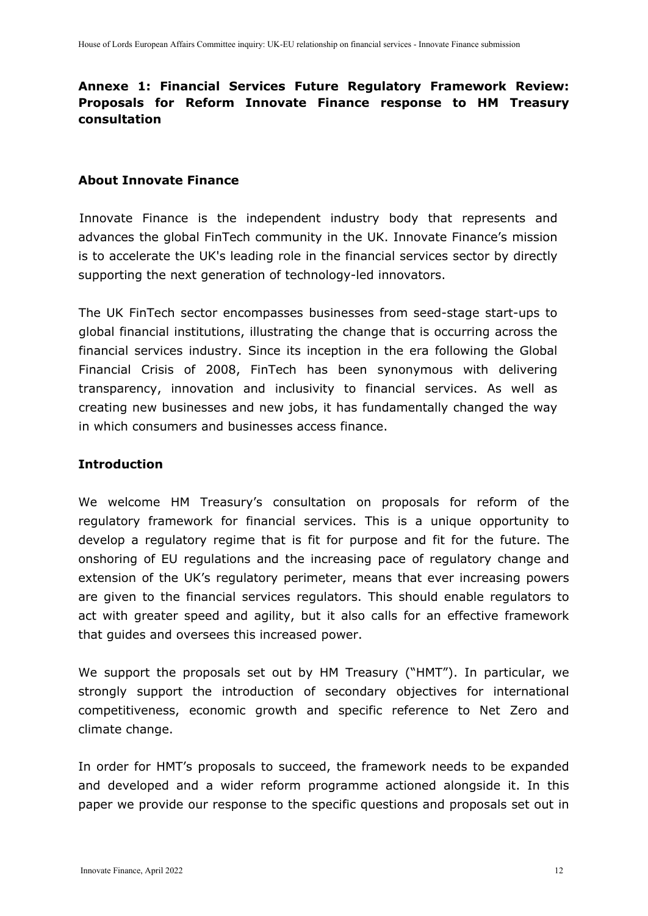# <span id="page-11-0"></span>**Annexe 1: Financial Services Future Regulatory Framework Review: Proposals for Reform Innovate Finance response to HM Treasury consultation**

#### **About Innovate Finance**

Innovate Finance is the independent industry body that represents and advances the global FinTech community in the UK. Innovate Finance's mission is to accelerate the UK's leading role in the financial services sector by directly supporting the next generation of technology-led innovators.

The UK FinTech sector encompasses businesses from seed-stage start-ups to global financial institutions, illustrating the change that is occurring across the financial services industry. Since its inception in the era following the Global Financial Crisis of 2008, FinTech has been synonymous with delivering transparency, innovation and inclusivity to financial services. As well as creating new businesses and new jobs, it has fundamentally changed the way in which consumers and businesses access finance.

#### **Introduction**

We welcome HM Treasury's consultation on proposals for reform of the regulatory framework for financial services. This is a unique opportunity to develop a regulatory regime that is fit for purpose and fit for the future. The onshoring of EU regulations and the increasing pace of regulatory change and extension of the UK's regulatory perimeter, means that ever increasing powers are given to the financial services regulators. This should enable regulators to act with greater speed and agility, but it also calls for an effective framework that guides and oversees this increased power.

We support the proposals set out by HM Treasury ("HMT"). In particular, we strongly support the introduction of secondary objectives for international competitiveness, economic growth and specific reference to Net Zero and climate change.

In order for HMT's proposals to succeed, the framework needs to be expanded and developed and a wider reform programme actioned alongside it. In this paper we provide our response to the specific questions and proposals set out in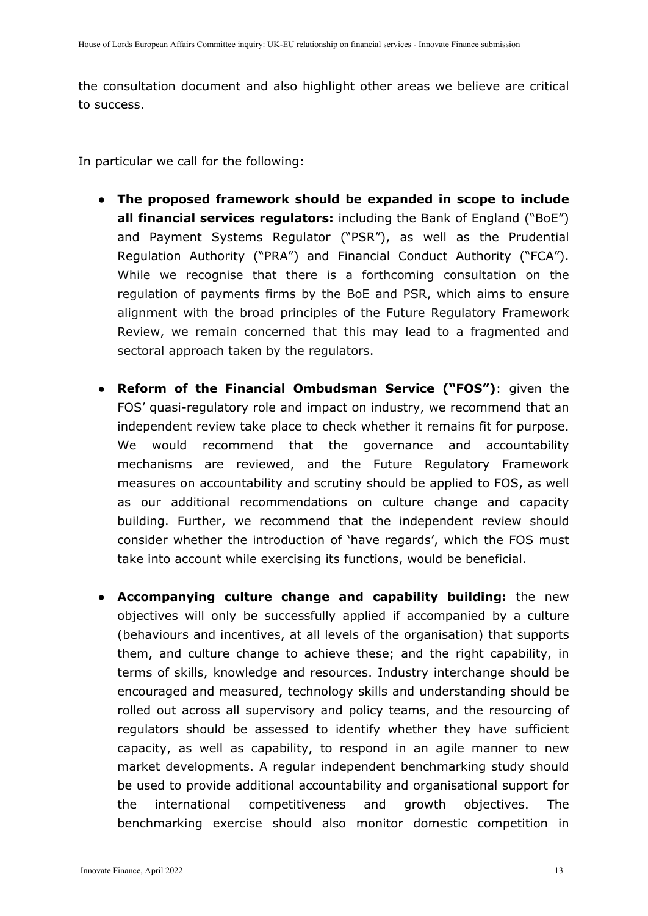the consultation document and also highlight other areas we believe are critical to success.

In particular we call for the following:

- **The proposed framework should be expanded in scope to include all financial services regulators:** including the Bank of England ("BoE") and Payment Systems Regulator ("PSR"), as well as the Prudential Regulation Authority ("PRA") and Financial Conduct Authority ("FCA"). While we recognise that there is a forthcoming consultation on the regulation of payments firms by the BoE and PSR, which aims to ensure alignment with the broad principles of the Future Regulatory Framework Review, we remain concerned that this may lead to a fragmented and sectoral approach taken by the regulators.
- **Reform of the Financial Ombudsman Service ("FOS")**: given the FOS' quasi-regulatory role and impact on industry, we recommend that an independent review take place to check whether it remains fit for purpose. We would recommend that the governance and accountability mechanisms are reviewed, and the Future Regulatory Framework measures on accountability and scrutiny should be applied to FOS, as well as our additional recommendations on culture change and capacity building. Further, we recommend that the independent review should consider whether the introduction of 'have regards', which the FOS must take into account while exercising its functions, would be beneficial.
- **Accompanying culture change and capability building:** the new objectives will only be successfully applied if accompanied by a culture (behaviours and incentives, at all levels of the organisation) that supports them, and culture change to achieve these; and the right capability, in terms of skills, knowledge and resources. Industry interchange should be encouraged and measured, technology skills and understanding should be rolled out across all supervisory and policy teams, and the resourcing of regulators should be assessed to identify whether they have sufficient capacity, as well as capability, to respond in an agile manner to new market developments. A regular independent benchmarking study should be used to provide additional accountability and organisational support for the international competitiveness and growth objectives. The benchmarking exercise should also monitor domestic competition in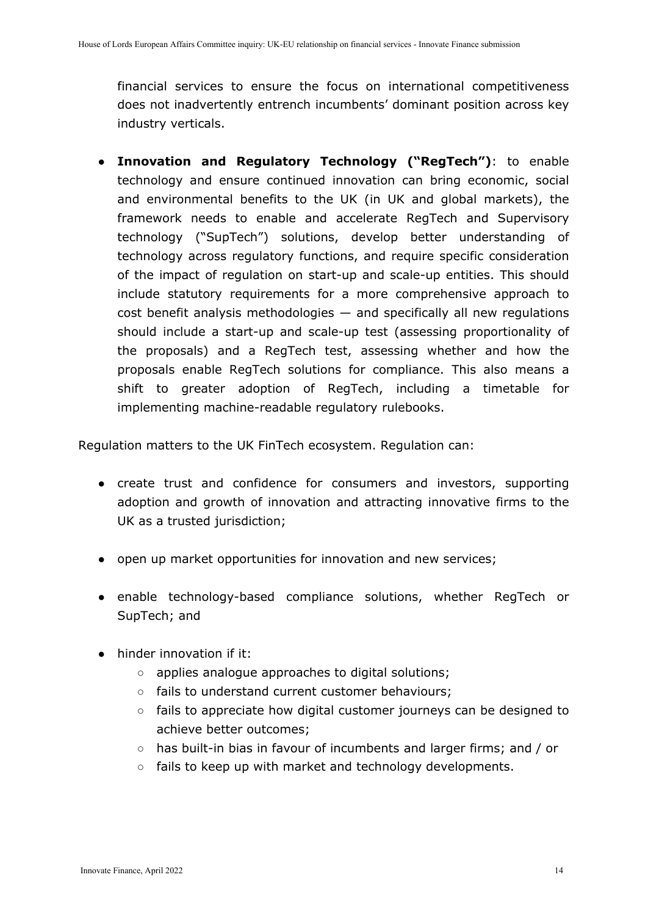financial services to ensure the focus on international competitiveness does not inadvertently entrench incumbents' dominant position across key industry verticals.

● **Innovation and Regulatory Technology ("RegTech")**: to enable technology and ensure continued innovation can bring economic, social and environmental benefits to the UK (in UK and global markets), the framework needs to enable and accelerate RegTech and Supervisory technology ("SupTech") solutions, develop better understanding of technology across regulatory functions, and require specific consideration of the impact of regulation on start-up and scale-up entities. This should include statutory requirements for a more comprehensive approach to  $cost$  benefit analysis methodologies  $-$  and specifically all new regulations should include a start-up and scale-up test (assessing proportionality of the proposals) and a RegTech test, assessing whether and how the proposals enable RegTech solutions for compliance. This also means a shift to greater adoption of RegTech, including a timetable for implementing machine-readable regulatory rulebooks.

Regulation matters to the UK FinTech ecosystem. Regulation can:

- create trust and confidence for consumers and investors, supporting adoption and growth of innovation and attracting innovative firms to the UK as a trusted jurisdiction;
- open up market opportunities for innovation and new services;
- enable technology-based compliance solutions, whether RegTech or SupTech; and
- hinder innovation if it:
	- applies analogue approaches to digital solutions;
	- fails to understand current customer behaviours;
	- fails to appreciate how digital customer journeys can be designed to achieve better outcomes;
	- has built-in bias in favour of incumbents and larger firms; and / or
	- fails to keep up with market and technology developments.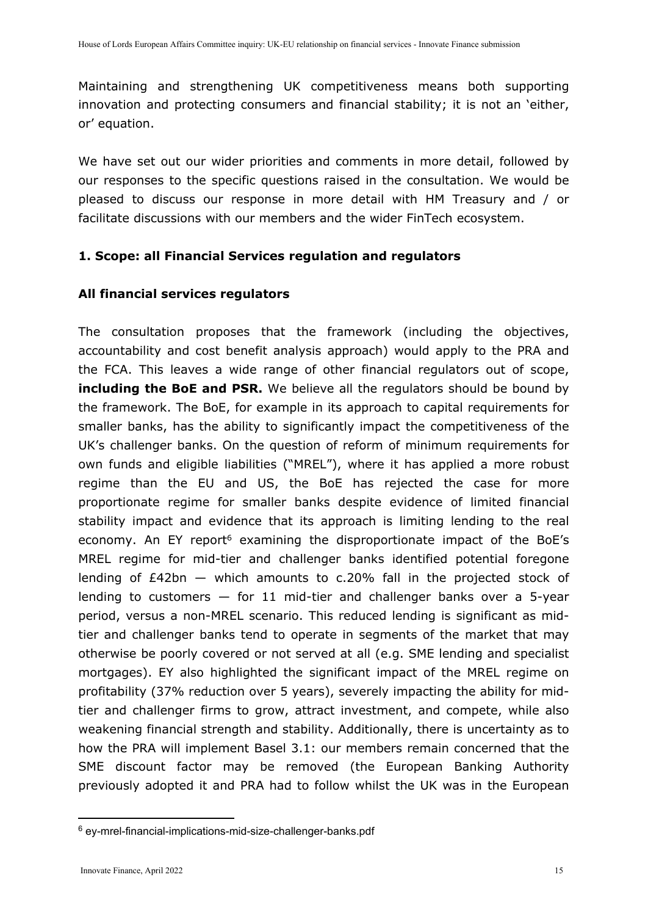Maintaining and strengthening UK competitiveness means both supporting innovation and protecting consumers and financial stability; it is not an 'either, or' equation.

We have set out our wider priorities and comments in more detail, followed by our responses to the specific questions raised in the consultation. We would be pleased to discuss our response in more detail with HM Treasury and / or facilitate discussions with our members and the wider FinTech ecosystem.

### **1. Scope: all Financial Services regulation and regulators**

#### **All financial services regulators**

The consultation proposes that the framework (including the objectives, accountability and cost benefit analysis approach) would apply to the PRA and the FCA. This leaves a wide range of other financial regulators out of scope, **including the BoE and PSR.** We believe all the regulators should be bound by the framework. The BoE, for example in its approach to capital requirements for smaller banks, has the ability to significantly impact the competitiveness of the UK's challenger banks. On the question of reform of minimum requirements for own funds and eligible liabilities ("MREL"), where it has applied a more robust regime than the EU and US, the BoE has rejected the case for more proportionate regime for smaller banks despite evidence of limited financial stability impact and evidence that its approach is limiting lending to the real economy. An EY report<sup>6</sup> examining the disproportionate impact of the BoE's MREL regime for mid-tier and challenger banks identified potential foregone lending of £42bn — which amounts to c.20% fall in the projected stock of lending to customers  $-$  for 11 mid-tier and challenger banks over a 5-year period, versus a non-MREL scenario. This reduced lending is significant as midtier and challenger banks tend to operate in segments of the market that may otherwise be poorly covered or not served at all (e.g. SME lending and specialist mortgages). EY also highlighted the significant impact of the MREL regime on profitability (37% reduction over 5 years), severely impacting the ability for midtier and challenger firms to grow, attract investment, and compete, while also weakening financial strength and stability. Additionally, there is uncertainty as to how the PRA will implement Basel 3.1: our members remain concerned that the SME discount factor may be removed (the European Banking Authority previously adopted it and PRA had to follow whilst the UK was in the European

<sup>6</sup> [ey-mrel-financial-implications-mid-size-challenger-banks.pdf](https://assets.ey.com/content/dam/ey-sites/ey-com/en_uk/topics/financial-services/ey-mrel-financial-implications-mid-size-challenger-banks.pdf)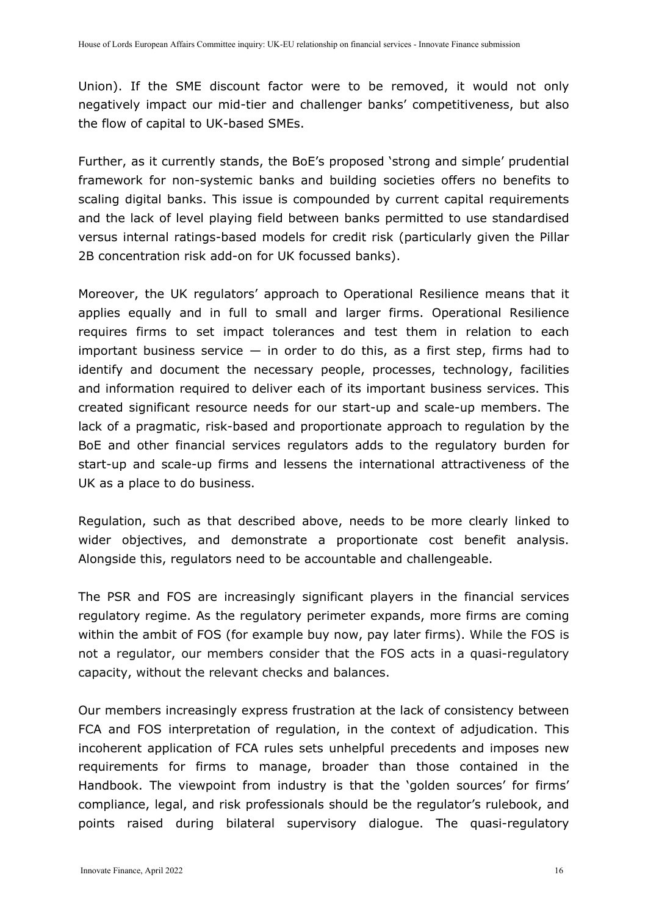Union). If the SME discount factor were to be removed, it would not only negatively impact our mid-tier and challenger banks' competitiveness, but also the flow of capital to UK-based SMEs.

Further, as it currently stands, the BoE's proposed 'strong and simple' prudential framework for non-systemic banks and building societies offers no benefits to scaling digital banks. This issue is compounded by current capital requirements and the lack of level playing field between banks permitted to use standardised versus internal ratings-based models for credit risk (particularly given the Pillar 2B concentration risk add-on for UK focussed banks).

Moreover, the UK regulators' approach to Operational Resilience means that it applies equally and in full to small and larger firms. Operational Resilience requires firms to set impact tolerances and test them in relation to each important business service  $-$  in order to do this, as a first step, firms had to identify and document the necessary people, processes, technology, facilities and information required to deliver each of its important business services. This created significant resource needs for our start-up and scale-up members. The lack of a pragmatic, risk-based and proportionate approach to regulation by the BoE and other financial services regulators adds to the regulatory burden for start-up and scale-up firms and lessens the international attractiveness of the UK as a place to do business.

Regulation, such as that described above, needs to be more clearly linked to wider objectives, and demonstrate a proportionate cost benefit analysis. Alongside this, regulators need to be accountable and challengeable.

The PSR and FOS are increasingly significant players in the financial services regulatory regime. As the regulatory perimeter expands, more firms are coming within the ambit of FOS (for example buy now, pay later firms). While the FOS is not a regulator, our members consider that the FOS acts in a quasi-regulatory capacity, without the relevant checks and balances.

Our members increasingly express frustration at the lack of consistency between FCA and FOS interpretation of regulation, in the context of adjudication. This incoherent application of FCA rules sets unhelpful precedents and imposes new requirements for firms to manage, broader than those contained in the Handbook. The viewpoint from industry is that the 'golden sources' for firms' compliance, legal, and risk professionals should be the regulator's rulebook, and points raised during bilateral supervisory dialogue. The quasi-regulatory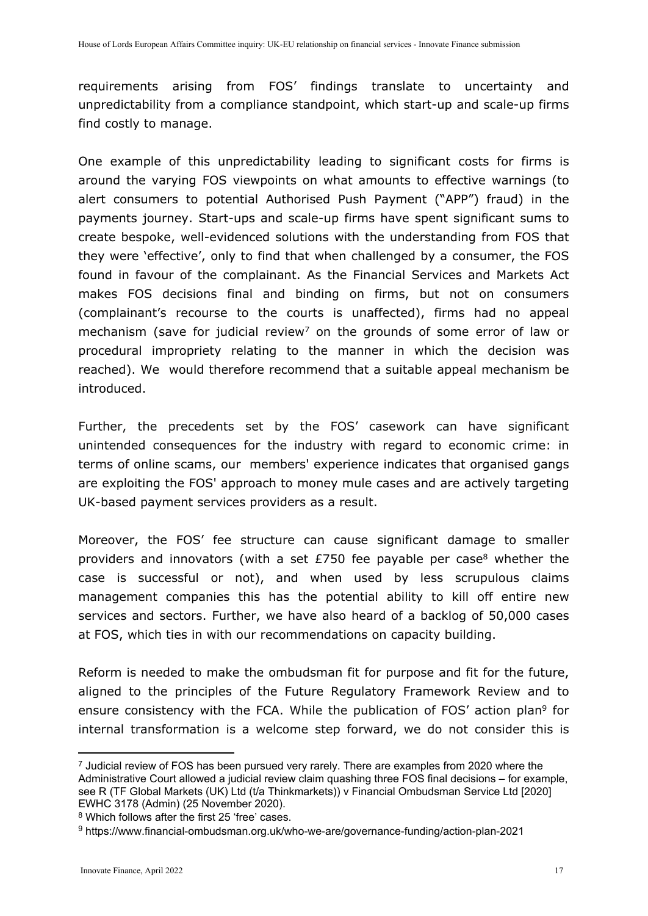requirements arising from FOS' findings translate to uncertainty and unpredictability from a compliance standpoint, which start-up and scale-up firms find costly to manage.

One example of this unpredictability leading to significant costs for firms is around the varying FOS viewpoints on what amounts to effective warnings (to alert consumers to potential Authorised Push Payment ("APP") fraud) in the payments journey. Start-ups and scale-up firms have spent significant sums to create bespoke, well-evidenced solutions with the understanding from FOS that they were 'effective', only to find that when challenged by a consumer, the FOS found in favour of the complainant. As the Financial Services and Markets Act makes FOS decisions final and binding on firms, but not on consumers (complainant's recourse to the courts is unaffected), firms had no appeal mechanism (save for judicial review<sup>7</sup> on the grounds of some error of law or procedural impropriety relating to the manner in which the decision was reached). We would therefore recommend that a suitable appeal mechanism be introduced.

Further, the precedents set by the FOS' casework can have significant unintended consequences for the industry with regard to economic crime: in terms of online scams, our members' experience indicates that organised gangs are exploiting the FOS' approach to money mule cases and are actively targeting UK-based payment services providers as a result.

Moreover, the FOS' fee structure can cause significant damage to smaller providers and innovators (with a set  $E$ 750 fee payable per case<sup>8</sup> whether the case is successful or not), and when used by less scrupulous claims management companies this has the potential ability to kill off entire new services and sectors. Further, we have also heard of a backlog of 50,000 cases at FOS, which ties in with our recommendations on capacity building.

Reform is needed to make the ombudsman fit for purpose and fit for the future, aligned to the principles of the Future Regulatory Framework Review and to ensure consistency with the FCA. While the publication of FOS' action plan<sup>9</sup> for internal transformation is a welcome step forward, we do not consider this is

 $<sup>7</sup>$  Judicial review of FOS has been pursued very rarely. There are examples from 2020 where the</sup> Administrative Court allowed a judicial review claim quashing three FOS final decisions – for example, see R (TF Global Markets (UK) Ltd (t/a Thinkmarkets)) v Financial Ombudsman Service Ltd [2020] EWHC 3178 (Admin) (25 November 2020).

<sup>8</sup> Which follows after the first 25 'free' cases.

<sup>9</sup> https://www.financial-ombudsman.org.uk/who-we-are/governance-funding/action-plan-2021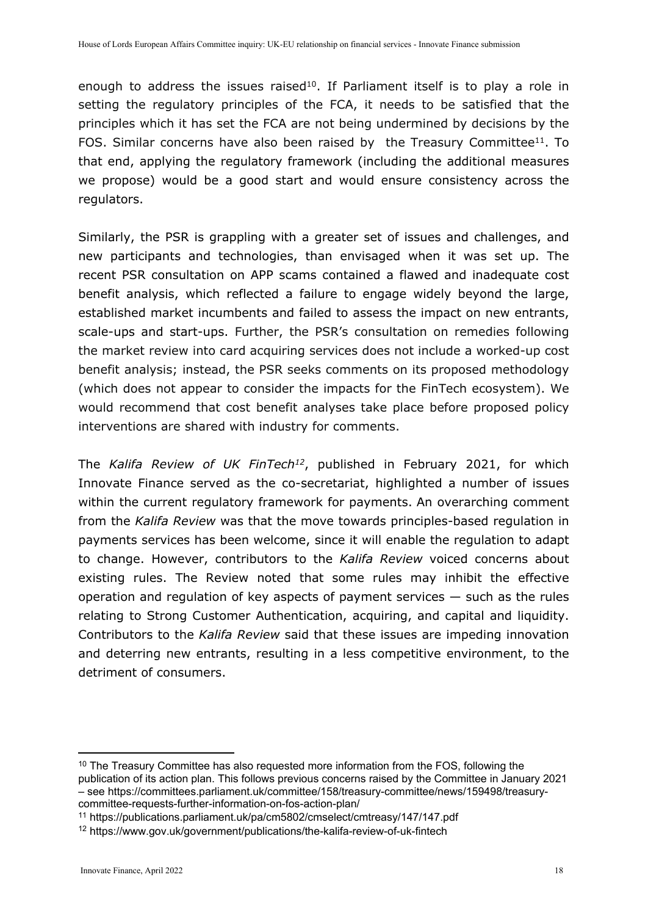enough to address the issues raised<sup>10</sup>. If Parliament itself is to play a role in setting the regulatory principles of the FCA, it needs to be satisfied that the principles which it has set the FCA are not being undermined by decisions by the FOS. Similar concerns have also been raised by the Treasury Committee<sup>11</sup>. To that end, applying the regulatory framework (including the additional measures we propose) would be a good start and would ensure consistency across the regulators.

Similarly, the PSR is grappling with a greater set of issues and challenges, and new participants and technologies, than envisaged when it was set up. The recent PSR consultation on APP scams contained a flawed and inadequate cost benefit analysis, which reflected a failure to engage widely beyond the large, established market incumbents and failed to assess the impact on new entrants, scale-ups and start-ups. Further, the PSR's consultation on remedies following the market review into card acquiring services does not include a worked-up cost benefit analysis; instead, the PSR seeks comments on its proposed methodology (which does not appear to consider the impacts for the FinTech ecosystem). We would recommend that cost benefit analyses take place before proposed policy interventions are shared with industry for comments.

The *Kalifa Review of UK FinTech<sup>12</sup>*, published in February 2021, for which Innovate Finance served as the co-secretariat, highlighted a number of issues within the current regulatory framework for payments. An overarching comment from the *Kalifa Review* was that the move towards principles-based regulation in payments services has been welcome, since it will enable the regulation to adapt to change. However, contributors to the *Kalifa Review* voiced concerns about existing rules. The Review noted that some rules may inhibit the effective operation and regulation of key aspects of payment services — such as the rules relating to Strong Customer Authentication, acquiring, and capital and liquidity. Contributors to the *Kalifa Review* said that these issues are impeding innovation and deterring new entrants, resulting in a less competitive environment, to the detriment of consumers.

<sup>&</sup>lt;sup>10</sup> The Treasury Committee has also requested more information from the FOS, following the publication of its action plan. This follows previous concerns raised by the Committee in January 2021 – see [https://committees.parliament.uk/committee/158/treasury-committee/news/159498/treasury](https://committees.parliament.uk/committee/158/treasury-committee/news/159498/treasury-committee-requests-further-information-on-fos-action-plan/)[committee-requests-further-information-on-fos-action-plan/](https://committees.parliament.uk/committee/158/treasury-committee/news/159498/treasury-committee-requests-further-information-on-fos-action-plan/)

<sup>11</sup> https://publications.parliament.uk/pa/cm5802/cmselect/cmtreasy/147/147.pdf

<sup>12</sup> https://www.gov.uk/government/publications/the-kalifa-review-of-uk-fintech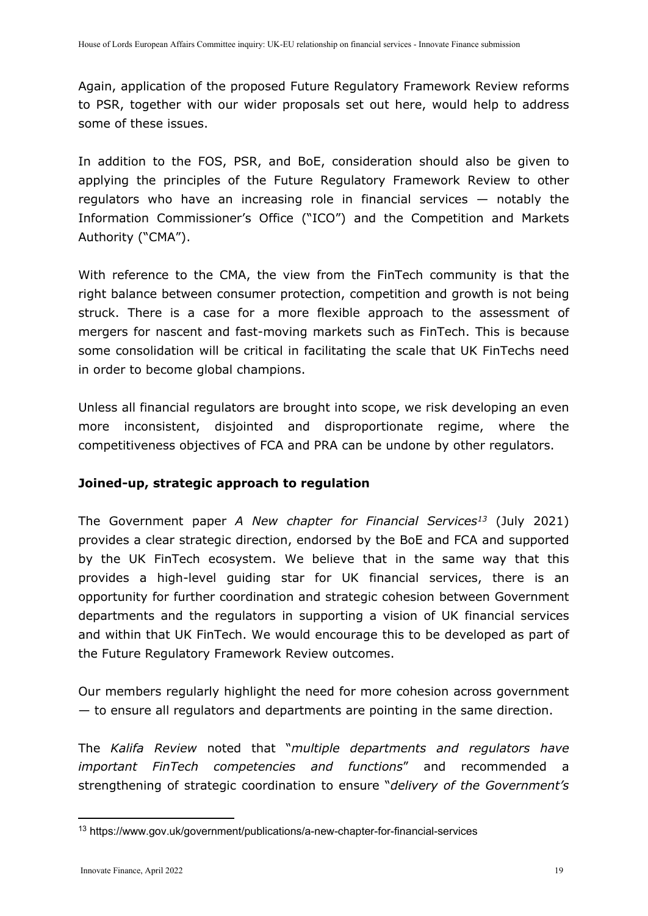Again, application of the proposed Future Regulatory Framework Review reforms to PSR, together with our wider proposals set out here, would help to address some of these issues.

In addition to the FOS, PSR, and BoE, consideration should also be given to applying the principles of the Future Regulatory Framework Review to other regulators who have an increasing role in financial services — notably the Information Commissioner's Office ("ICO") and the Competition and Markets Authority ("CMA").

With reference to the CMA, the view from the FinTech community is that the right balance between consumer protection, competition and growth is not being struck. There is a case for a more flexible approach to the assessment of mergers for nascent and fast-moving markets such as FinTech. This is because some consolidation will be critical in facilitating the scale that UK FinTechs need in order to become global champions.

Unless all financial regulators are brought into scope, we risk developing an even more inconsistent, disjointed and disproportionate regime, where the competitiveness objectives of FCA and PRA can be undone by other regulators.

## **Joined-up, strategic approach to regulation**

The Government paper *A New chapter for Financial Services<sup>13</sup>* (July 2021) provides a clear strategic direction, endorsed by the BoE and FCA and supported by the UK FinTech ecosystem. We believe that in the same way that this provides a high-level guiding star for UK financial services, there is an opportunity for further coordination and strategic cohesion between Government departments and the regulators in supporting a vision of UK financial services and within that UK FinTech. We would encourage this to be developed as part of the Future Regulatory Framework Review outcomes.

Our members regularly highlight the need for more cohesion across government — to ensure all regulators and departments are pointing in the same direction.

The *Kalifa Review* noted that "*multiple departments and regulators have important FinTech competencies and functions*" and recommended a strengthening of strategic coordination to ensure "*delivery of the Government's*

<sup>13</sup> https://www.gov.uk/government/publications/a-new-chapter-for-financial-services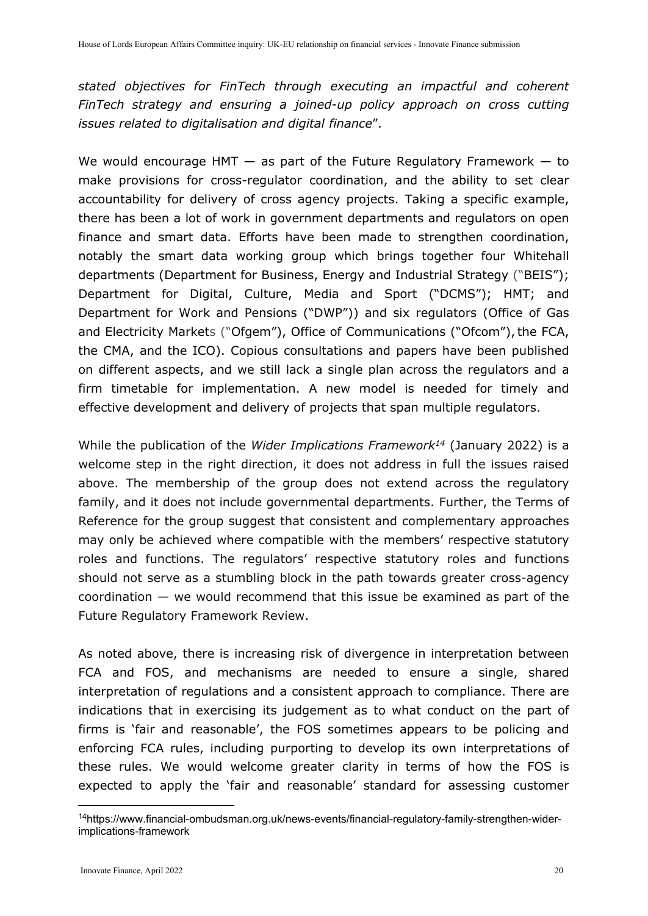*stated objectives for FinTech through executing an impactful and coherent FinTech strategy and ensuring a joined-up policy approach on cross cutting issues related to digitalisation and digital finance*".

We would encourage HMT  $-$  as part of the Future Regulatory Framework  $-$  to make provisions for cross-regulator coordination, and the ability to set clear accountability for delivery of cross agency projects. Taking a specific example, there has been a lot of work in government departments and regulators on open finance and smart data. Efforts have been made to strengthen coordination, notably the smart data working group which brings together four Whitehall departments (Department for Business, Energy and Industrial Strategy ("BEIS"); Department for Digital, Culture, Media and Sport ("DCMS"); HMT; and Department for Work and Pensions ("DWP")) and six regulators (Office of Gas and Electricity Markets ("Ofgem"), Office of Communications ("Ofcom"), the FCA, the CMA, and the ICO). Copious consultations and papers have been published on different aspects, and we still lack a single plan across the regulators and a firm timetable for implementation. A new model is needed for timely and effective development and delivery of projects that span multiple regulators.

While the publication of the *Wider Implications Framework<sup>14</sup>* (January 2022) is a welcome step in the right direction, it does not address in full the issues raised above. The membership of the group does not extend across the regulatory family, and it does not include governmental departments. Further, the Terms of Reference for the group suggest that consistent and complementary approaches may only be achieved where compatible with the members' respective statutory roles and functions. The regulators' respective statutory roles and functions should not serve as a stumbling block in the path towards greater cross-agency  $coordination$  — we would recommend that this issue be examined as part of the Future Regulatory Framework Review.

As noted above, there is increasing risk of divergence in interpretation between FCA and FOS, and mechanisms are needed to ensure a single, shared interpretation of regulations and a consistent approach to compliance. There are indications that in exercising its judgement as to what conduct on the part of firms is 'fair and reasonable', the FOS sometimes appears to be policing and enforcing FCA rules, including purporting to develop its own interpretations of these rules. We would welcome greater clarity in terms of how the FOS is expected to apply the 'fair and reasonable' standard for assessing customer

<sup>14</sup>https://www.financial-ombudsman.org.uk/news-events/financial-regulatory-family-strengthen-widerimplications-framework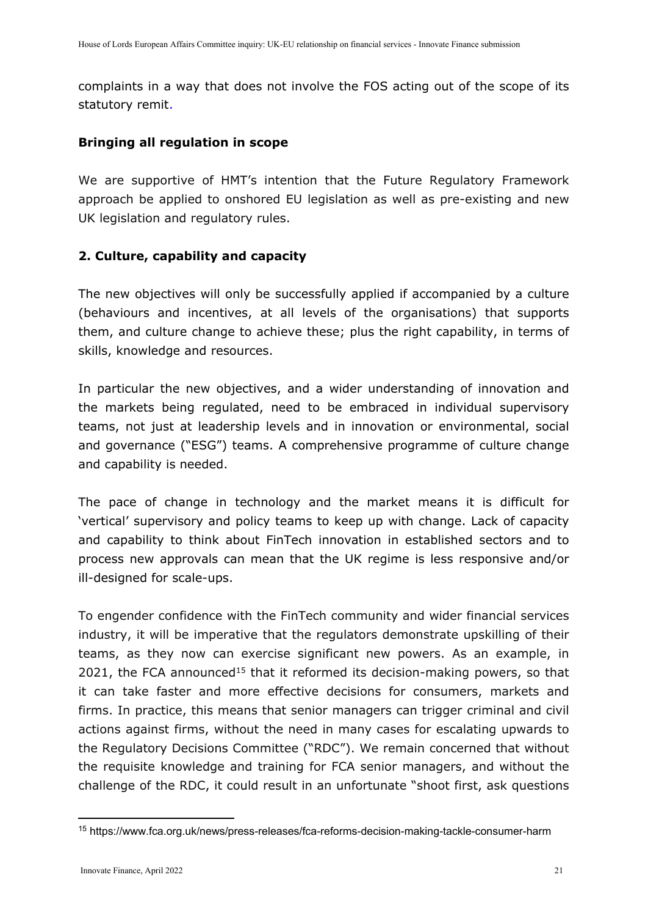complaints in a way that does not involve the FOS acting out of the scope of its statutory remit.

## **Bringing all regulation in scope**

We are supportive of HMT's intention that the Future Regulatory Framework approach be applied to onshored EU legislation as well as pre-existing and new UK legislation and regulatory rules.

## **2. Culture, capability and capacity**

The new objectives will only be successfully applied if accompanied by a culture (behaviours and incentives, at all levels of the organisations) that supports them, and culture change to achieve these; plus the right capability, in terms of skills, knowledge and resources.

In particular the new objectives, and a wider understanding of innovation and the markets being regulated, need to be embraced in individual supervisory teams, not just at leadership levels and in innovation or environmental, social and governance ("ESG") teams. A comprehensive programme of culture change and capability is needed.

The pace of change in technology and the market means it is difficult for 'vertical' supervisory and policy teams to keep up with change. Lack of capacity and capability to think about FinTech innovation in established sectors and to process new approvals can mean that the UK regime is less responsive and/or ill-designed for scale-ups.

To engender confidence with the FinTech community and wider financial services industry, it will be imperative that the regulators demonstrate upskilling of their teams, as they now can exercise significant new powers. As an example, in 2021, the FCA announced<sup>15</sup> that it reformed its decision-making powers, so that it can take faster and more effective decisions for consumers, markets and firms. In practice, this means that senior managers can trigger criminal and civil actions against firms, without the need in many cases for escalating upwards to the Regulatory Decisions Committee ("RDC"). We remain concerned that without the requisite knowledge and training for FCA senior managers, and without the challenge of the RDC, it could result in an unfortunate "shoot first, ask questions

<sup>15</sup> https://www.fca.org.uk/news/press-releases/fca-reforms-decision-making-tackle-consumer-harm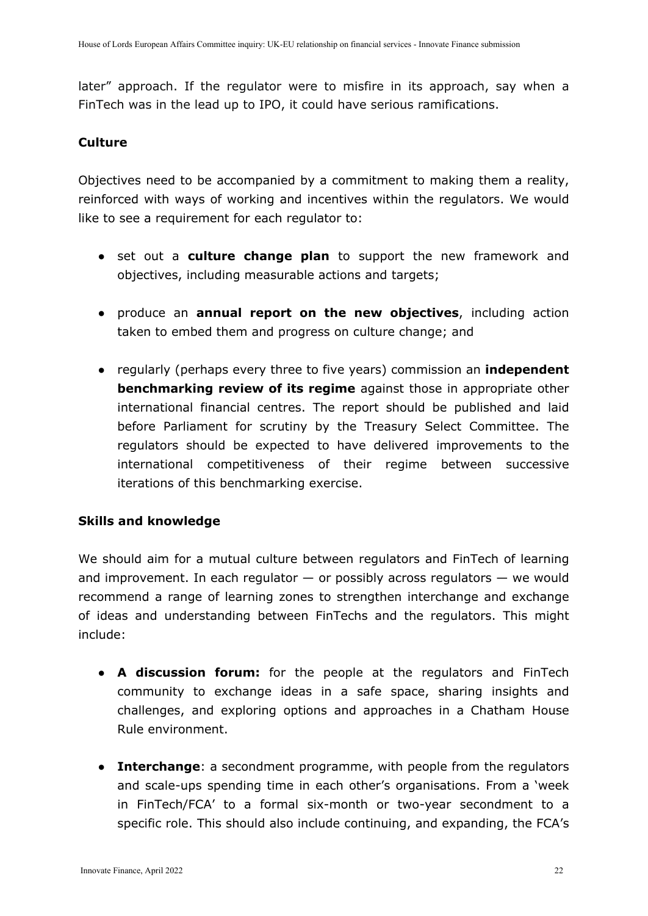later" approach. If the regulator were to misfire in its approach, say when a FinTech was in the lead up to IPO, it could have serious ramifications.

### **Culture**

Objectives need to be accompanied by a commitment to making them a reality, reinforced with ways of working and incentives within the regulators. We would like to see a requirement for each regulator to:

- set out a **culture change plan** to support the new framework and objectives, including measurable actions and targets;
- produce an **annual report on the new objectives**, including action taken to embed them and progress on culture change; and
- regularly (perhaps every three to five years) commission an **independent benchmarking review of its regime** against those in appropriate other international financial centres. The report should be published and laid before Parliament for scrutiny by the Treasury Select Committee. The regulators should be expected to have delivered improvements to the international competitiveness of their regime between successive iterations of this benchmarking exercise.

### **Skills and knowledge**

We should aim for a mutual culture between regulators and FinTech of learning and improvement. In each regulator  $-$  or possibly across regulators  $-$  we would recommend a range of learning zones to strengthen interchange and exchange of ideas and understanding between FinTechs and the regulators. This might include:

- **A discussion forum:** for the people at the regulators and FinTech community to exchange ideas in a safe space, sharing insights and challenges, and exploring options and approaches in a Chatham House Rule environment.
- **Interchange**: a secondment programme, with people from the regulators and scale-ups spending time in each other's organisations. From a 'week in FinTech/FCA' to a formal six-month or two-year secondment to a specific role. This should also include continuing, and expanding, the FCA's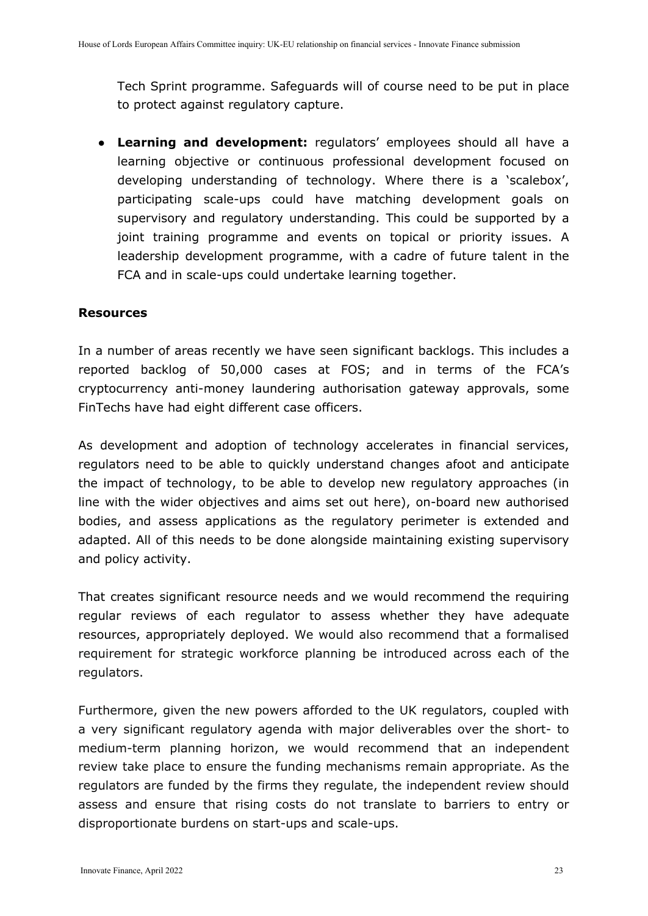Tech Sprint programme. Safeguards will of course need to be put in place to protect against regulatory capture.

● **Learning and development:** regulators' employees should all have a learning objective or continuous professional development focused on developing understanding of technology. Where there is a 'scalebox', participating scale-ups could have matching development goals on supervisory and regulatory understanding. This could be supported by a joint training programme and events on topical or priority issues. A leadership development programme, with a cadre of future talent in the FCA and in scale-ups could undertake learning together.

#### **Resources**

In a number of areas recently we have seen significant backlogs. This includes a reported backlog of 50,000 cases at FOS; and in terms of the FCA's cryptocurrency anti-money laundering authorisation gateway approvals, some FinTechs have had eight different case officers.

As development and adoption of technology accelerates in financial services, regulators need to be able to quickly understand changes afoot and anticipate the impact of technology, to be able to develop new regulatory approaches (in line with the wider objectives and aims set out here), on-board new authorised bodies, and assess applications as the regulatory perimeter is extended and adapted. All of this needs to be done alongside maintaining existing supervisory and policy activity.

That creates significant resource needs and we would recommend the requiring regular reviews of each regulator to assess whether they have adequate resources, appropriately deployed. We would also recommend that a formalised requirement for strategic workforce planning be introduced across each of the regulators.

Furthermore, given the new powers afforded to the UK regulators, coupled with a very significant regulatory agenda with major deliverables over the short- to medium-term planning horizon, we would recommend that an independent review take place to ensure the funding mechanisms remain appropriate. As the regulators are funded by the firms they regulate, the independent review should assess and ensure that rising costs do not translate to barriers to entry or disproportionate burdens on start-ups and scale-ups.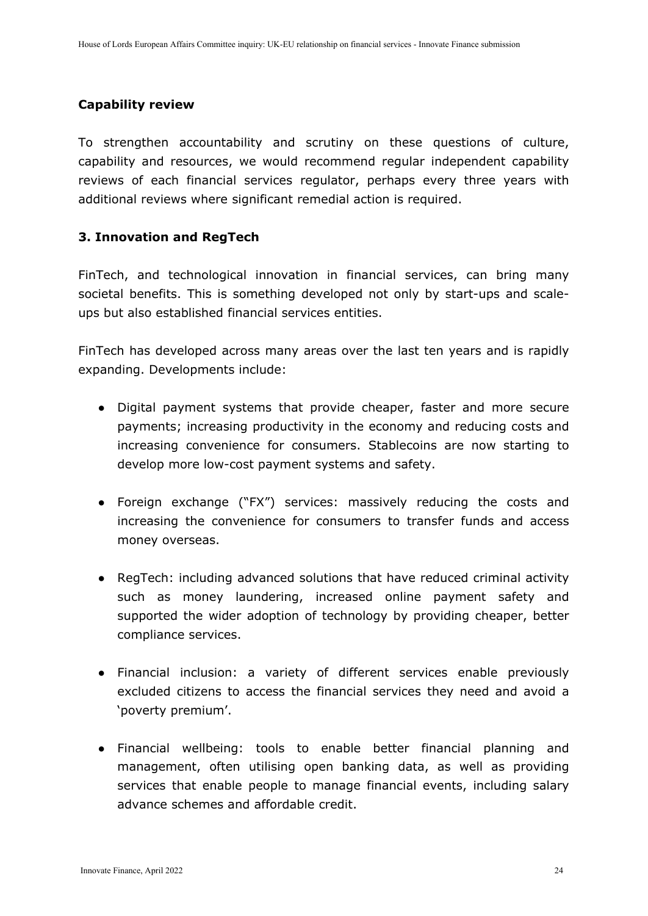### **Capability review**

To strengthen accountability and scrutiny on these questions of culture, capability and resources, we would recommend regular independent capability reviews of each financial services regulator, perhaps every three years with additional reviews where significant remedial action is required.

### **3. Innovation and RegTech**

FinTech, and technological innovation in financial services, can bring many societal benefits. This is something developed not only by start-ups and scaleups but also established financial services entities.

FinTech has developed across many areas over the last ten years and is rapidly expanding. Developments include:

- Digital payment systems that provide cheaper, faster and more secure payments; increasing productivity in the economy and reducing costs and increasing convenience for consumers. Stablecoins are now starting to develop more low-cost payment systems and safety.
- Foreign exchange ("FX") services: massively reducing the costs and increasing the convenience for consumers to transfer funds and access money overseas.
- RegTech: including advanced solutions that have reduced criminal activity such as money laundering, increased online payment safety and supported the wider adoption of technology by providing cheaper, better compliance services.
- Financial inclusion: a variety of different services enable previously excluded citizens to access the financial services they need and avoid a 'poverty premium'.
- Financial wellbeing: tools to enable better financial planning and management, often utilising open banking data, as well as providing services that enable people to manage financial events, including salary advance schemes and affordable credit.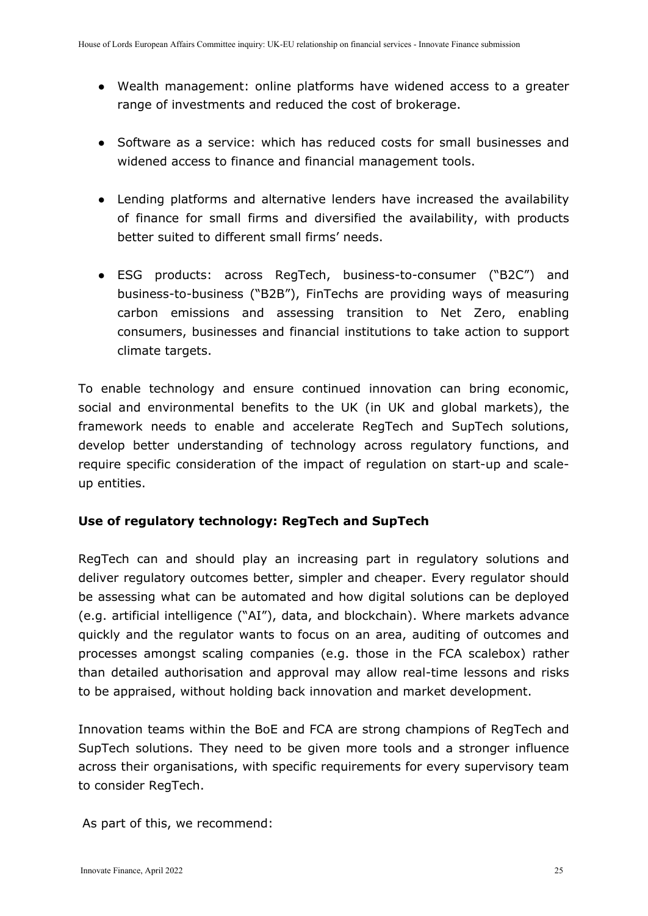- Wealth management: online platforms have widened access to a greater range of investments and reduced the cost of brokerage.
- Software as a service: which has reduced costs for small businesses and widened access to finance and financial management tools.
- Lending platforms and alternative lenders have increased the availability of finance for small firms and diversified the availability, with products better suited to different small firms' needs.
- ESG products: across RegTech, business-to-consumer ("B2C") and business-to-business ("B2B"), FinTechs are providing ways of measuring carbon emissions and assessing transition to Net Zero, enabling consumers, businesses and financial institutions to take action to support climate targets.

To enable technology and ensure continued innovation can bring economic, social and environmental benefits to the UK (in UK and global markets), the framework needs to enable and accelerate RegTech and SupTech solutions, develop better understanding of technology across regulatory functions, and require specific consideration of the impact of regulation on start-up and scaleup entities.

## **Use of regulatory technology: RegTech and SupTech**

RegTech can and should play an increasing part in regulatory solutions and deliver regulatory outcomes better, simpler and cheaper. Every regulator should be assessing what can be automated and how digital solutions can be deployed (e.g. artificial intelligence ("AI"), data, and blockchain). Where markets advance quickly and the regulator wants to focus on an area, auditing of outcomes and processes amongst scaling companies (e.g. those in the FCA scalebox) rather than detailed authorisation and approval may allow real-time lessons and risks to be appraised, without holding back innovation and market development.

Innovation teams within the BoE and FCA are strong champions of RegTech and SupTech solutions. They need to be given more tools and a stronger influence across their organisations, with specific requirements for every supervisory team to consider RegTech.

As part of this, we recommend: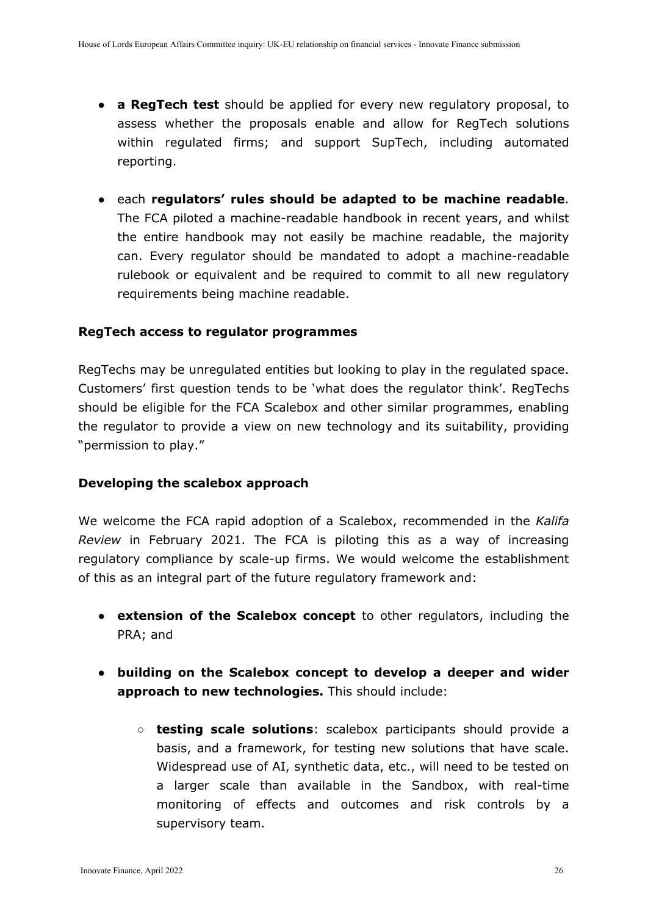- **a RegTech test** should be applied for every new regulatory proposal, to assess whether the proposals enable and allow for RegTech solutions within regulated firms; and support SupTech, including automated reporting.
- each **regulators' rules should be adapted to be machine readable**. The FCA piloted a machine-readable handbook in recent years, and whilst the entire handbook may not easily be machine readable, the majority can. Every regulator should be mandated to adopt a machine-readable rulebook or equivalent and be required to commit to all new regulatory requirements being machine readable.

### **RegTech access to regulator programmes**

RegTechs may be unregulated entities but looking to play in the regulated space. Customers' first question tends to be 'what does the regulator think'. RegTechs should be eligible for the FCA Scalebox and other similar programmes, enabling the regulator to provide a view on new technology and its suitability, providing "permission to play."

### **Developing the scalebox approach**

We welcome the FCA rapid adoption of a Scalebox, recommended in the *Kalifa Review* in February 2021. The FCA is piloting this as a way of increasing regulatory compliance by scale-up firms. We would welcome the establishment of this as an integral part of the future regulatory framework and:

- **extension of the Scalebox concept** to other regulators, including the PRA; and
- **building on the Scalebox concept to develop a deeper and wider approach to new technologies.** This should include:
	- **testing scale solutions**: scalebox participants should provide a basis, and a framework, for testing new solutions that have scale. Widespread use of AI, synthetic data, etc., will need to be tested on a larger scale than available in the Sandbox, with real-time monitoring of effects and outcomes and risk controls by a supervisory team.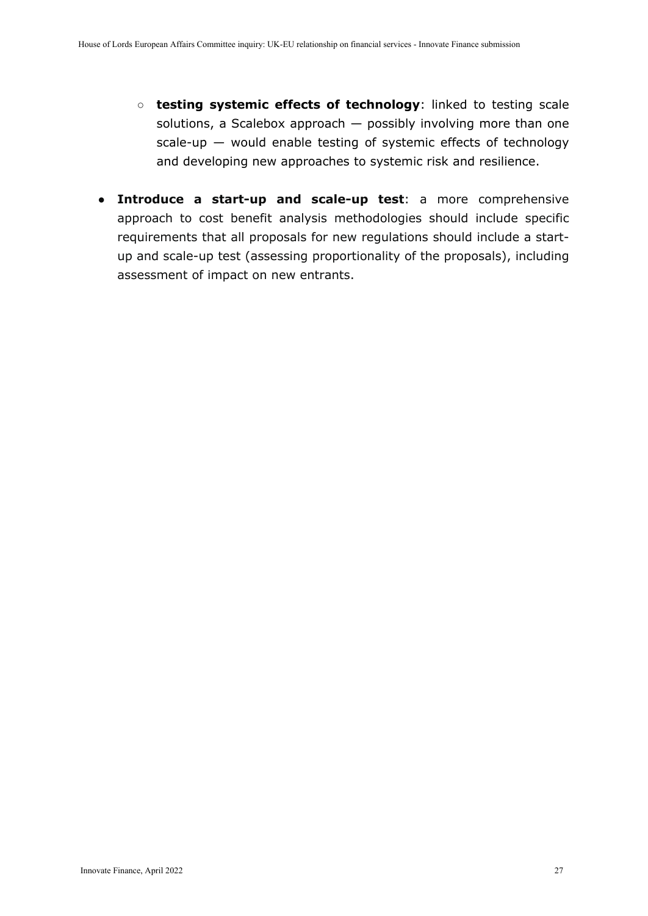- **testing systemic effects of technology**: linked to testing scale solutions, a Scalebox approach — possibly involving more than one scale-up — would enable testing of systemic effects of technology and developing new approaches to systemic risk and resilience.
- **Introduce a start-up and scale-up test**: a more comprehensive approach to cost benefit analysis methodologies should include specific requirements that all proposals for new regulations should include a startup and scale-up test (assessing proportionality of the proposals), including assessment of impact on new entrants.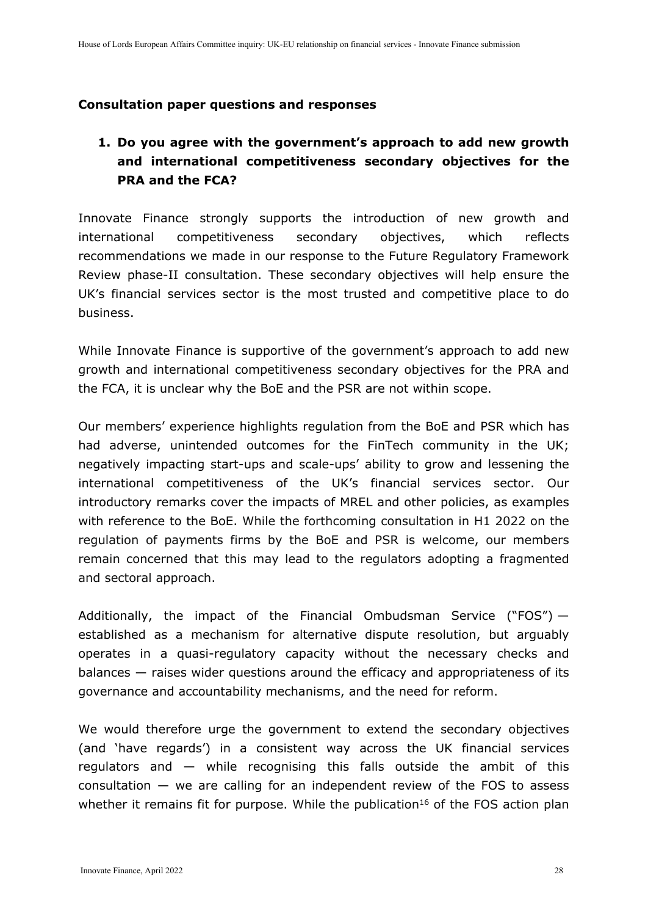### **Consultation paper questions and responses**

# **1. Do you agree with the government's approach to add new growth and international competitiveness secondary objectives for the PRA and the FCA?**

Innovate Finance strongly supports the introduction of new growth and international competitiveness secondary objectives, which reflects recommendations we made in our response to the Future Regulatory Framework Review phase-II consultation. These secondary objectives will help ensure the UK's financial services sector is the most trusted and competitive place to do business.

While Innovate Finance is supportive of the government's approach to add new growth and international competitiveness secondary objectives for the PRA and the FCA, it is unclear why the BoE and the PSR are not within scope.

Our members' experience highlights regulation from the BoE and PSR which has had adverse, unintended outcomes for the FinTech community in the UK; negatively impacting start-ups and scale-ups' ability to grow and lessening the international competitiveness of the UK's financial services sector. Our introductory remarks cover the impacts of MREL and other policies, as examples with reference to the BoE. While the forthcoming consultation in H1 2022 on the regulation of payments firms by the BoE and PSR is welcome, our members remain concerned that this may lead to the regulators adopting a fragmented and sectoral approach.

Additionally, the impact of the Financial Ombudsman Service ("FOS")  $$ established as a mechanism for alternative dispute resolution, but arguably operates in a quasi-regulatory capacity without the necessary checks and balances — raises wider questions around the efficacy and appropriateness of its governance and accountability mechanisms, and the need for reform.

We would therefore urge the government to extend the secondary objectives (and 'have regards') in a consistent way across the UK financial services regulators and — while recognising this falls outside the ambit of this consultation — we are calling for an independent review of the FOS to assess whether it remains fit for purpose. While the publication<sup>16</sup> of the FOS action plan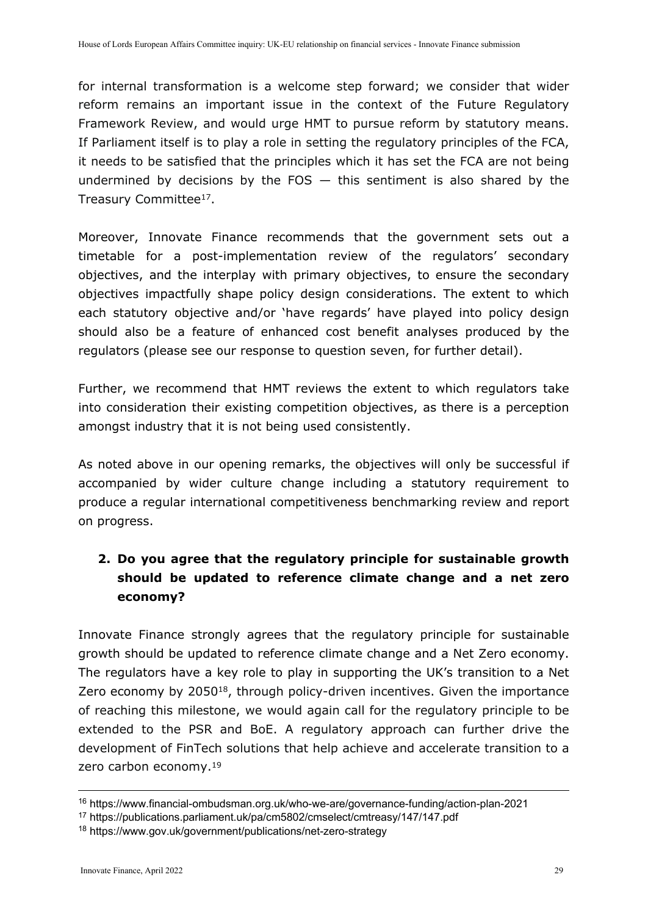for internal transformation is a welcome step forward; we consider that wider reform remains an important issue in the context of the Future Regulatory Framework Review, and would urge HMT to pursue reform by statutory means. If Parliament itself is to play a role in setting the regulatory principles of the FCA, it needs to be satisfied that the principles which it has set the FCA are not being undermined by decisions by the FOS  $-$  this sentiment is also shared by the Treasury Committee<sup>17</sup>.

Moreover, Innovate Finance recommends that the government sets out a timetable for a post-implementation review of the regulators' secondary objectives, and the interplay with primary objectives, to ensure the secondary objectives impactfully shape policy design considerations. The extent to which each statutory objective and/or 'have regards' have played into policy design should also be a feature of enhanced cost benefit analyses produced by the regulators (please see our response to question seven, for further detail).

Further, we recommend that HMT reviews the extent to which regulators take into consideration their existing competition objectives, as there is a perception amongst industry that it is not being used consistently.

As noted above in our opening remarks, the objectives will only be successful if accompanied by wider culture change including a statutory requirement to produce a regular international competitiveness benchmarking review and report on progress.

# **2. Do you agree that the regulatory principle for sustainable growth should be updated to reference climate change and a net zero economy?**

Innovate Finance strongly agrees that the regulatory principle for sustainable growth should be updated to reference climate change and a Net Zero economy. The regulators have a key role to play in supporting the UK's transition to a Net Zero economy by 2050<sup>18</sup>, through policy-driven incentives. Given the importance of reaching this milestone, we would again call for the regulatory principle to be extended to the PSR and BoE. A regulatory approach can further drive the development of FinTech solutions that help achieve and accelerate transition to a zero carbon economy.<sup>19</sup>

<sup>16</sup> https://www.financial-ombudsman.org.uk/who-we-are/governance-funding/action-plan-2021

<sup>17</sup> https://publications.parliament.uk/pa/cm5802/cmselect/cmtreasy/147/147.pdf

<sup>18</sup> https://www.gov.uk/government/publications/net-zero-strategy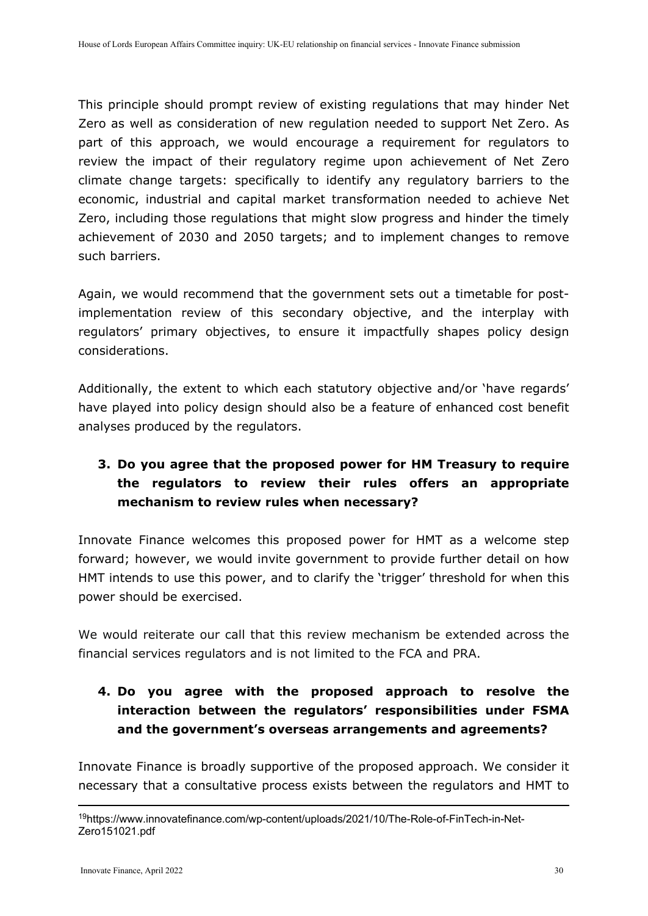This principle should prompt review of existing regulations that may hinder Net Zero as well as consideration of new regulation needed to support Net Zero. As part of this approach, we would encourage a requirement for regulators to review the impact of their regulatory regime upon achievement of Net Zero climate change targets: specifically to identify any regulatory barriers to the economic, industrial and capital market transformation needed to achieve Net Zero, including those regulations that might slow progress and hinder the timely achievement of 2030 and 2050 targets; and to implement changes to remove such barriers.

Again, we would recommend that the government sets out a timetable for postimplementation review of this secondary objective, and the interplay with regulators' primary objectives, to ensure it impactfully shapes policy design considerations.

Additionally, the extent to which each statutory objective and/or 'have regards' have played into policy design should also be a feature of enhanced cost benefit analyses produced by the regulators.

# **3. Do you agree that the proposed power for HM Treasury to require the regulators to review their rules offers an appropriate mechanism to review rules when necessary?**

Innovate Finance welcomes this proposed power for HMT as a welcome step forward; however, we would invite government to provide further detail on how HMT intends to use this power, and to clarify the 'trigger' threshold for when this power should be exercised.

We would reiterate our call that this review mechanism be extended across the financial services regulators and is not limited to the FCA and PRA.

# **4. Do you agree with the proposed approach to resolve the interaction between the regulators' responsibilities under FSMA and the government's overseas arrangements and agreements?**

Innovate Finance is broadly supportive of the proposed approach. We consider it necessary that a consultative process exists between the regulators and HMT to

<sup>19</sup>https://www.innovatefinance.com/wp-content/uploads/2021/10/The-Role-of-FinTech-in-Net-Zero151021.pdf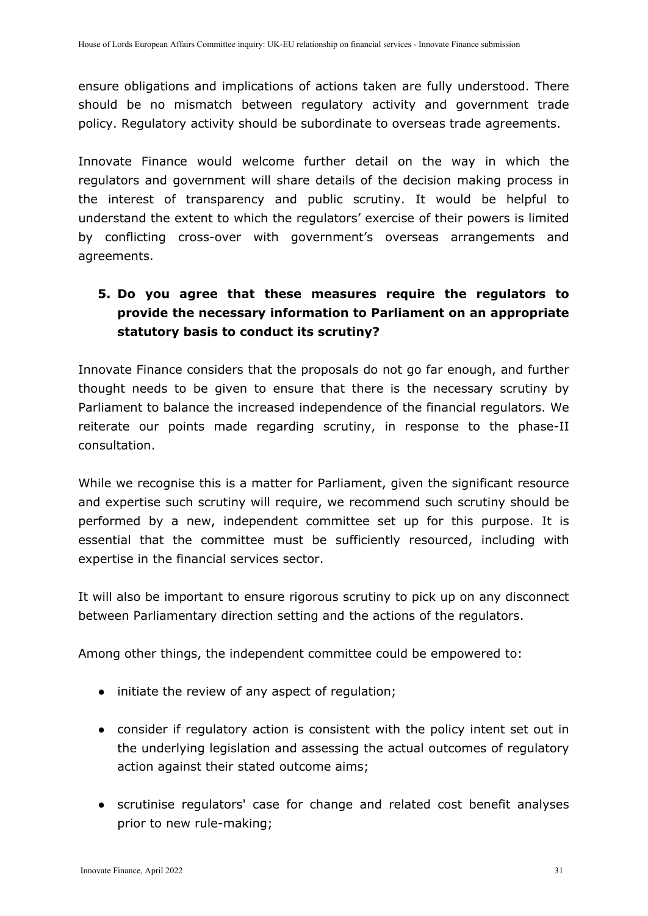ensure obligations and implications of actions taken are fully understood. There should be no mismatch between regulatory activity and government trade policy. Regulatory activity should be subordinate to overseas trade agreements.

Innovate Finance would welcome further detail on the way in which the regulators and government will share details of the decision making process in the interest of transparency and public scrutiny. It would be helpful to understand the extent to which the regulators' exercise of their powers is limited by conflicting cross-over with government's overseas arrangements and agreements.

# **5. Do you agree that these measures require the regulators to provide the necessary information to Parliament on an appropriate statutory basis to conduct its scrutiny?**

Innovate Finance considers that the proposals do not go far enough, and further thought needs to be given to ensure that there is the necessary scrutiny by Parliament to balance the increased independence of the financial regulators. We reiterate our points made regarding scrutiny, in response to the phase-II consultation.

While we recognise this is a matter for Parliament, given the significant resource and expertise such scrutiny will require, we recommend such scrutiny should be performed by a new, independent committee set up for this purpose. It is essential that the committee must be sufficiently resourced, including with expertise in the financial services sector.

It will also be important to ensure rigorous scrutiny to pick up on any disconnect between Parliamentary direction setting and the actions of the regulators.

Among other things, the independent committee could be empowered to:

- initiate the review of any aspect of regulation;
- consider if regulatory action is consistent with the policy intent set out in the underlying legislation and assessing the actual outcomes of regulatory action against their stated outcome aims;
- scrutinise regulators' case for change and related cost benefit analyses prior to new rule-making;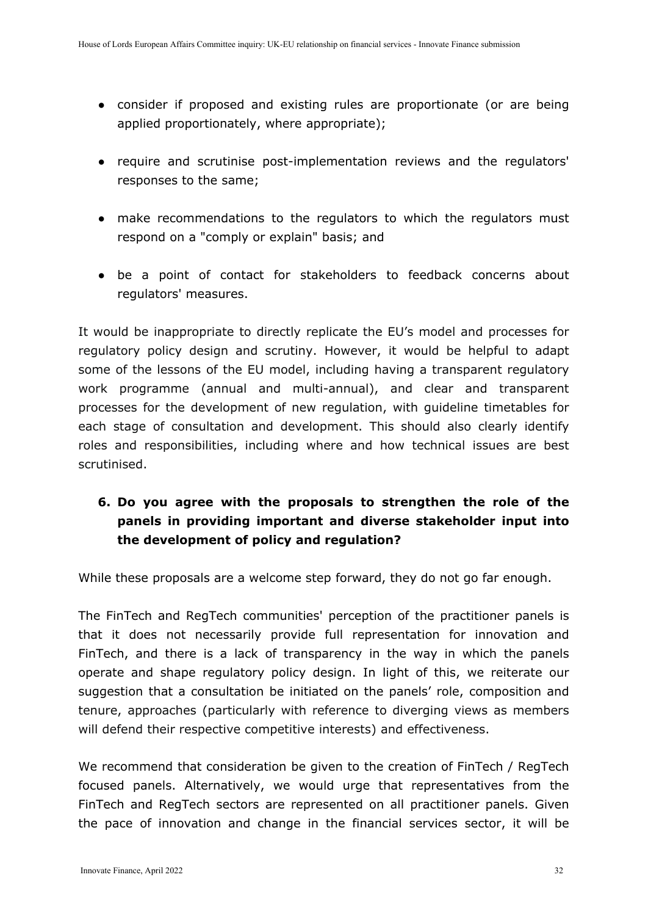- consider if proposed and existing rules are proportionate (or are being applied proportionately, where appropriate);
- require and scrutinise post-implementation reviews and the regulators' responses to the same;
- make recommendations to the regulators to which the regulators must respond on a "comply or explain" basis; and
- be a point of contact for stakeholders to feedback concerns about regulators' measures.

It would be inappropriate to directly replicate the EU's model and processes for regulatory policy design and scrutiny. However, it would be helpful to adapt some of the lessons of the EU model, including having a transparent regulatory work programme (annual and multi-annual), and clear and transparent processes for the development of new regulation, with guideline timetables for each stage of consultation and development. This should also clearly identify roles and responsibilities, including where and how technical issues are best scrutinised.

# **6. Do you agree with the proposals to strengthen the role of the panels in providing important and diverse stakeholder input into the development of policy and regulation?**

While these proposals are a welcome step forward, they do not go far enough.

The FinTech and RegTech communities' perception of the practitioner panels is that it does not necessarily provide full representation for innovation and FinTech, and there is a lack of transparency in the way in which the panels operate and shape regulatory policy design. In light of this, we reiterate our suggestion that a consultation be initiated on the panels' role, composition and tenure, approaches (particularly with reference to diverging views as members will defend their respective competitive interests) and effectiveness.

We recommend that consideration be given to the creation of FinTech / RegTech focused panels. Alternatively, we would urge that representatives from the FinTech and RegTech sectors are represented on all practitioner panels. Given the pace of innovation and change in the financial services sector, it will be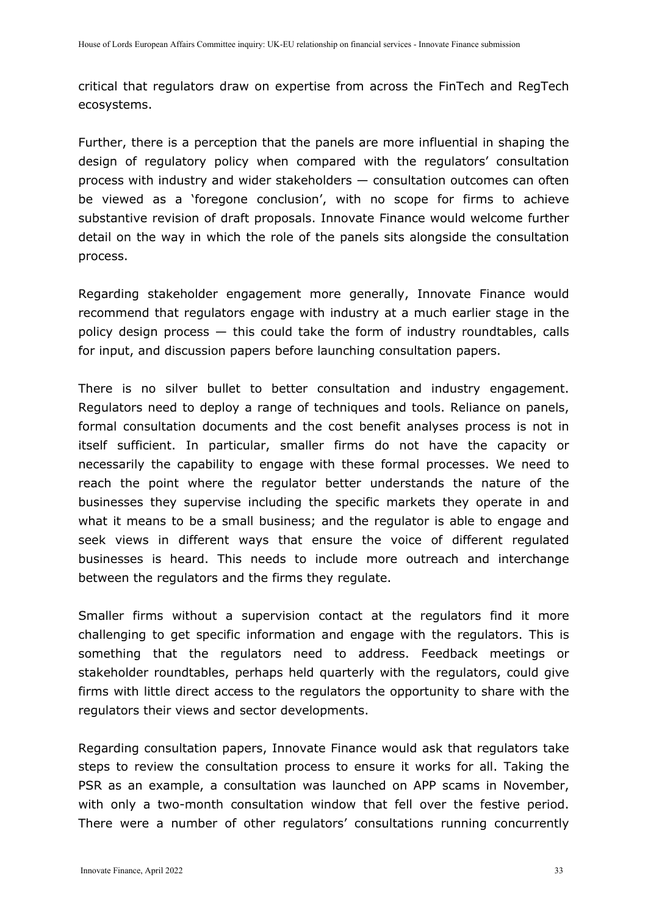critical that regulators draw on expertise from across the FinTech and RegTech ecosystems.

Further, there is a perception that the panels are more influential in shaping the design of regulatory policy when compared with the regulators' consultation process with industry and wider stakeholders — consultation outcomes can often be viewed as a 'foregone conclusion', with no scope for firms to achieve substantive revision of draft proposals. Innovate Finance would welcome further detail on the way in which the role of the panels sits alongside the consultation process.

Regarding stakeholder engagement more generally, Innovate Finance would recommend that regulators engage with industry at a much earlier stage in the policy design process  $-$  this could take the form of industry roundtables, calls for input, and discussion papers before launching consultation papers.

There is no silver bullet to better consultation and industry engagement. Regulators need to deploy a range of techniques and tools. Reliance on panels, formal consultation documents and the cost benefit analyses process is not in itself sufficient. In particular, smaller firms do not have the capacity or necessarily the capability to engage with these formal processes. We need to reach the point where the regulator better understands the nature of the businesses they supervise including the specific markets they operate in and what it means to be a small business; and the regulator is able to engage and seek views in different ways that ensure the voice of different regulated businesses is heard. This needs to include more outreach and interchange between the regulators and the firms they regulate.

Smaller firms without a supervision contact at the regulators find it more challenging to get specific information and engage with the regulators. This is something that the regulators need to address. Feedback meetings or stakeholder roundtables, perhaps held quarterly with the regulators, could give firms with little direct access to the regulators the opportunity to share with the regulators their views and sector developments.

Regarding consultation papers, Innovate Finance would ask that regulators take steps to review the consultation process to ensure it works for all. Taking the PSR as an example, a consultation was launched on APP scams in November, with only a two-month consultation window that fell over the festive period. There were a number of other regulators' consultations running concurrently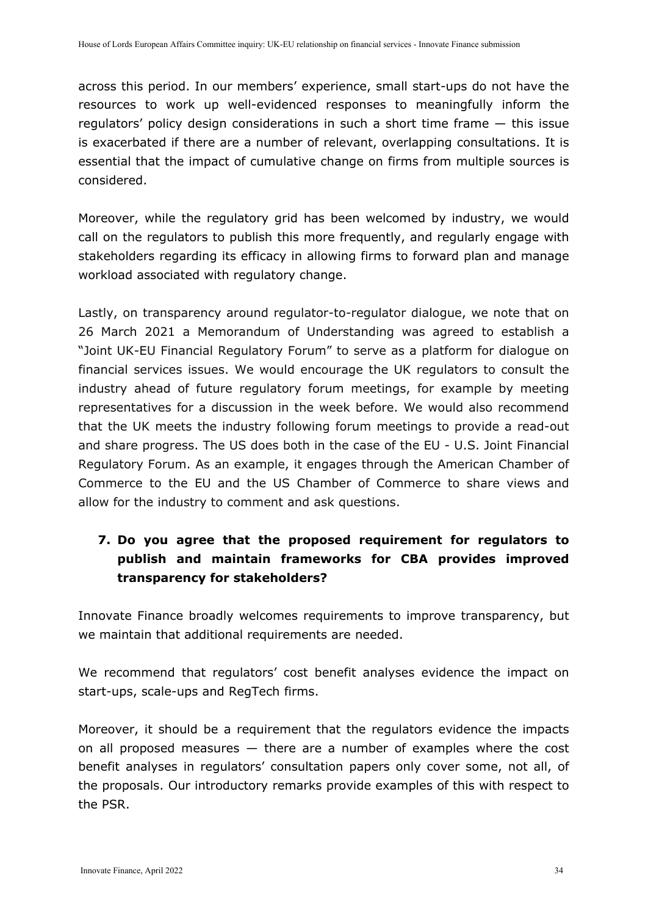across this period. In our members' experience, small start-ups do not have the resources to work up well-evidenced responses to meaningfully inform the regulators' policy design considerations in such a short time frame — this issue is exacerbated if there are a number of relevant, overlapping consultations. It is essential that the impact of cumulative change on firms from multiple sources is considered.

Moreover, while the regulatory grid has been welcomed by industry, we would call on the regulators to publish this more frequently, and regularly engage with stakeholders regarding its efficacy in allowing firms to forward plan and manage workload associated with regulatory change.

Lastly, on transparency around regulator-to-regulator dialogue, we note that on 26 March 2021 a Memorandum of Understanding was agreed to establish a "Joint UK-EU Financial Regulatory Forum" to serve as a platform for dialogue on financial services issues. We would encourage the UK regulators to consult the industry ahead of future regulatory forum meetings, for example by meeting representatives for a discussion in the week before. We would also recommend that the UK meets the industry following forum meetings to provide a read-out and share progress. The US does both in the case of the EU - U.S. Joint Financial Regulatory Forum. As an example, it engages through the American Chamber of Commerce to the EU and the US Chamber of Commerce to share views and allow for the industry to comment and ask questions.

# **7. Do you agree that the proposed requirement for regulators to publish and maintain frameworks for CBA provides improved transparency for stakeholders?**

Innovate Finance broadly welcomes requirements to improve transparency, but we maintain that additional requirements are needed.

We recommend that regulators' cost benefit analyses evidence the impact on start-ups, scale-ups and RegTech firms.

Moreover, it should be a requirement that the regulators evidence the impacts on all proposed measures — there are a number of examples where the cost benefit analyses in regulators' consultation papers only cover some, not all, of the proposals. Our introductory remarks provide examples of this with respect to the PSR.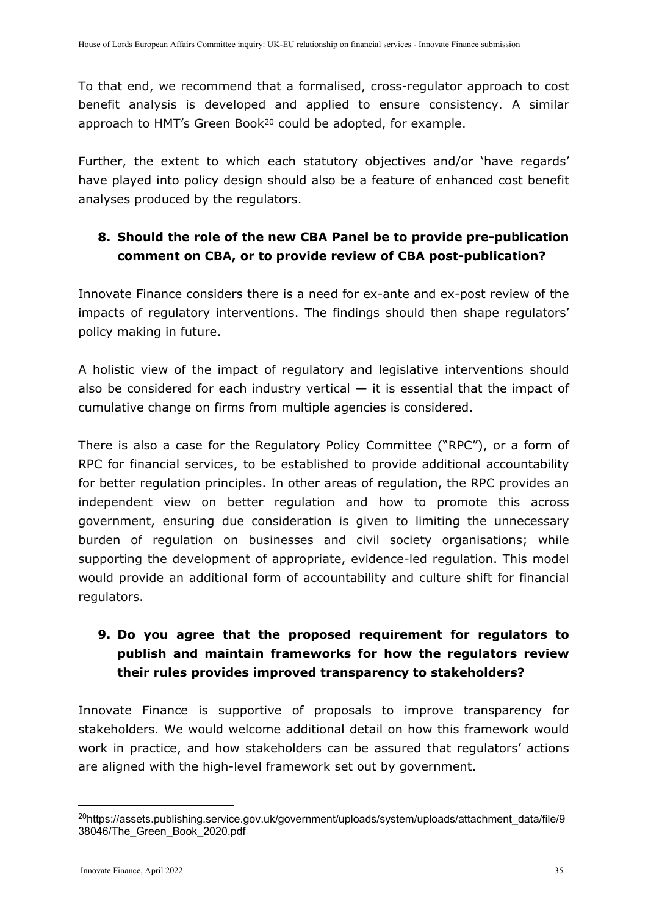To that end, we recommend that a formalised, cross-regulator approach to cost benefit analysis is developed and applied to ensure consistency. A similar approach to HMT's Green Book<sup>20</sup> could be adopted, for example.

Further, the extent to which each statutory objectives and/or 'have regards' have played into policy design should also be a feature of enhanced cost benefit analyses produced by the regulators.

# **8. Should the role of the new CBA Panel be to provide pre-publication comment on CBA, or to provide review of CBA post-publication?**

Innovate Finance considers there is a need for ex-ante and ex-post review of the impacts of regulatory interventions. The findings should then shape regulators' policy making in future.

A holistic view of the impact of regulatory and legislative interventions should also be considered for each industry vertical  $-$  it is essential that the impact of cumulative change on firms from multiple agencies is considered.

There is also a case for the Regulatory Policy Committee ("RPC"), or a form of RPC for financial services, to be established to provide additional accountability for better regulation principles. In other areas of regulation, the RPC provides an independent view on better regulation and how to promote this across government, ensuring due consideration is given to limiting the unnecessary burden of regulation on businesses and civil society organisations; while supporting the development of appropriate, evidence-led regulation. This model would provide an additional form of accountability and culture shift for financial regulators.

# **9. Do you agree that the proposed requirement for regulators to publish and maintain frameworks for how the regulators review their rules provides improved transparency to stakeholders?**

Innovate Finance is supportive of proposals to improve transparency for stakeholders. We would welcome additional detail on how this framework would work in practice, and how stakeholders can be assured that regulators' actions are aligned with the high-level framework set out by government.

<sup>&</sup>lt;sup>20</sup>https://assets.publishing.service.gov.uk/government/uploads/system/uploads/attachment\_data/file/9 38046/The\_Green\_Book\_2020.pdf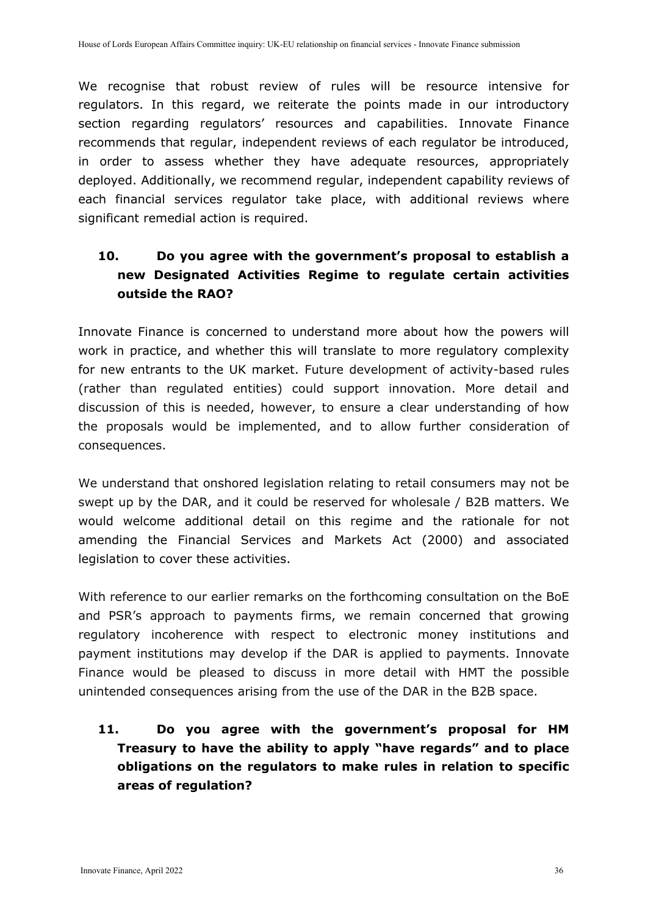We recognise that robust review of rules will be resource intensive for regulators. In this regard, we reiterate the points made in our introductory section regarding regulators' resources and capabilities. Innovate Finance recommends that regular, independent reviews of each regulator be introduced, in order to assess whether they have adequate resources, appropriately deployed. Additionally, we recommend regular, independent capability reviews of each financial services regulator take place, with additional reviews where significant remedial action is required.

# **10. Do you agree with the government's proposal to establish a new Designated Activities Regime to regulate certain activities outside the RAO?**

Innovate Finance is concerned to understand more about how the powers will work in practice, and whether this will translate to more regulatory complexity for new entrants to the UK market. Future development of activity-based rules (rather than regulated entities) could support innovation. More detail and discussion of this is needed, however, to ensure a clear understanding of how the proposals would be implemented, and to allow further consideration of consequences.

We understand that onshored legislation relating to retail consumers may not be swept up by the DAR, and it could be reserved for wholesale / B2B matters. We would welcome additional detail on this regime and the rationale for not amending the Financial Services and Markets Act (2000) and associated legislation to cover these activities.

With reference to our earlier remarks on the forthcoming consultation on the BoE and PSR's approach to payments firms, we remain concerned that growing regulatory incoherence with respect to electronic money institutions and payment institutions may develop if the DAR is applied to payments. Innovate Finance would be pleased to discuss in more detail with HMT the possible unintended consequences arising from the use of the DAR in the B2B space.

**11. Do you agree with the government's proposal for HM Treasury to have the ability to apply "have regards" and to place obligations on the regulators to make rules in relation to specific areas of regulation?**